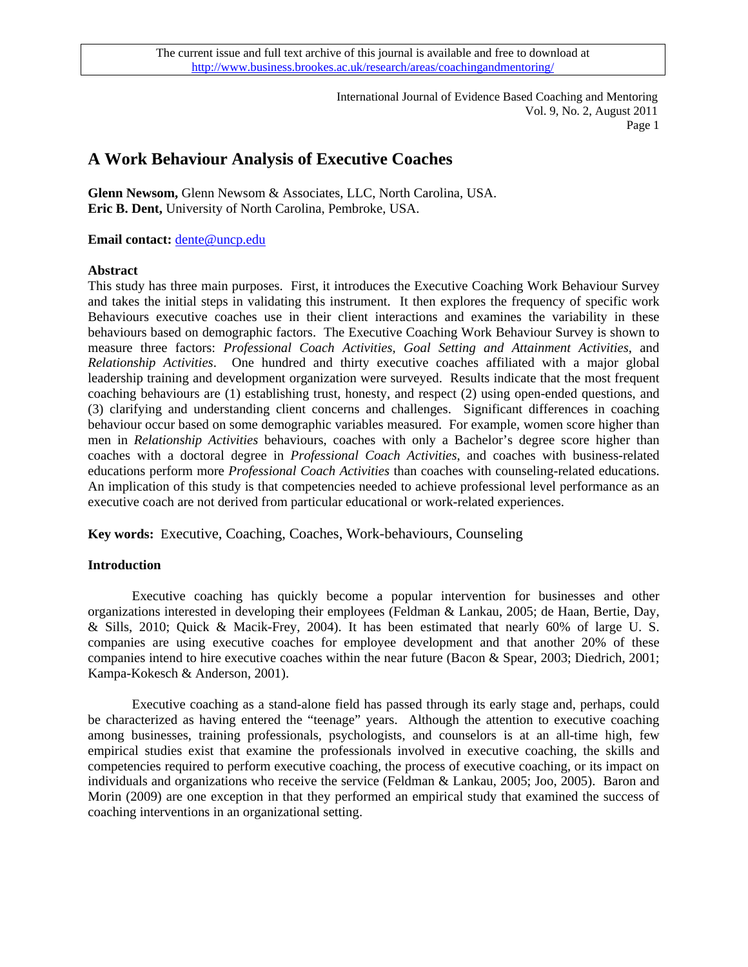> International Journal of Evidence Based Coaching and Mentoring Vol. 9, No. 2, August 2011 Page 1

# **A Work Behaviour Analysis of Executive Coaches**

**Glenn Newsom,** Glenn Newsom & Associates, LLC, North Carolina, USA. **Eric B. Dent,** University of North Carolina, Pembroke, USA.

**Email contact:** [dente@uncp.edu](mailto:dente@uncp.edu)

### **Abstract**

This study has three main purposes. First, it introduces the Executive Coaching Work Behaviour Survey and takes the initial steps in validating this instrument. It then explores the frequency of specific work Behaviours executive coaches use in their client interactions and examines the variability in these behaviours based on demographic factors. The Executive Coaching Work Behaviour Survey is shown to measure three factors: *Professional Coach Activities, Goal Setting and Attainment Activities*, and *Relationship Activities*. One hundred and thirty executive coaches affiliated with a major global leadership training and development organization were surveyed. Results indicate that the most frequent coaching behaviours are (1) establishing trust, honesty, and respect (2) using open-ended questions, and (3) clarifying and understanding client concerns and challenges. Significant differences in coaching behaviour occur based on some demographic variables measured. For example, women score higher than men in *Relationship Activities* behaviours, coaches with only a Bachelor's degree score higher than coaches with a doctoral degree in *Professional Coach Activities*, and coaches with business-related educations perform more *Professional Coach Activities* than coaches with counseling-related educations. An implication of this study is that competencies needed to achieve professional level performance as an executive coach are not derived from particular educational or work-related experiences.

**Key words:** Executive, Coaching, Coaches, Work-behaviours, Counseling

## **Introduction**

Executive coaching has quickly become a popular intervention for businesses and other organizations interested in developing their employees (Feldman & Lankau, 2005; de Haan, Bertie, Day, & Sills, 2010; Quick & Macik-Frey, 2004). It has been estimated that nearly 60% of large U. S. companies are using executive coaches for employee development and that another 20% of these companies intend to hire executive coaches within the near future (Bacon & Spear, 2003; Diedrich, 2001; Kampa-Kokesch & Anderson, 2001).

Executive coaching as a stand-alone field has passed through its early stage and, perhaps, could be characterized as having entered the "teenage" years. Although the attention to executive coaching among businesses, training professionals, psychologists, and counselors is at an all-time high, few empirical studies exist that examine the professionals involved in executive coaching, the skills and competencies required to perform executive coaching, the process of executive coaching, or its impact on individuals and organizations who receive the service (Feldman & Lankau, 2005; Joo, 2005). Baron and Morin (2009) are one exception in that they performed an empirical study that examined the success of coaching interventions in an organizational setting.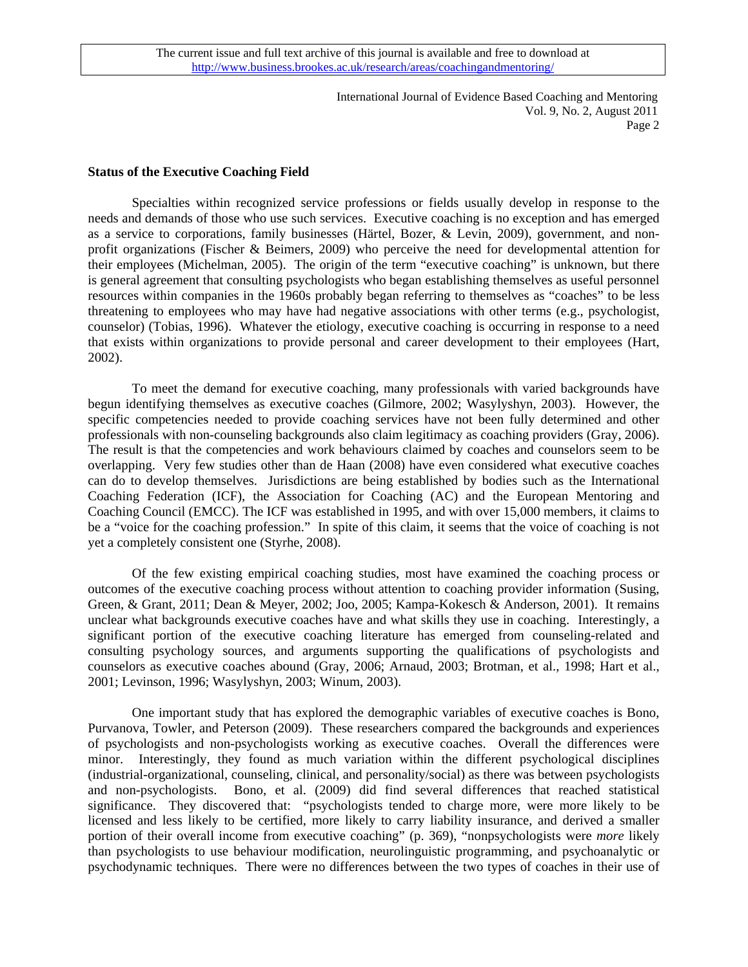> International Journal of Evidence Based Coaching and Mentoring Vol. 9, No. 2, August 2011 Page 2

### **Status of the Executive Coaching Field**

 Specialties within recognized service professions or fields usually develop in response to the needs and demands of those who use such services. Executive coaching is no exception and has emerged as a service to corporations, family businesses (Härtel, Bozer, & Levin, 2009), government, and nonprofit organizations (Fischer & Beimers, 2009) who perceive the need for developmental attention for their employees (Michelman, 2005). The origin of the term "executive coaching" is unknown, but there is general agreement that consulting psychologists who began establishing themselves as useful personnel resources within companies in the 1960s probably began referring to themselves as "coaches" to be less threatening to employees who may have had negative associations with other terms (e.g., psychologist, counselor) (Tobias, 1996). Whatever the etiology, executive coaching is occurring in response to a need that exists within organizations to provide personal and career development to their employees (Hart, 2002).

To meet the demand for executive coaching, many professionals with varied backgrounds have begun identifying themselves as executive coaches (Gilmore, 2002; Wasylyshyn, 2003). However, the specific competencies needed to provide coaching services have not been fully determined and other professionals with non-counseling backgrounds also claim legitimacy as coaching providers (Gray, 2006). The result is that the competencies and work behaviours claimed by coaches and counselors seem to be overlapping. Very few studies other than de Haan (2008) have even considered what executive coaches can do to develop themselves. Jurisdictions are being established by bodies such as the International Coaching Federation (ICF), the Association for Coaching (AC) and the European Mentoring and Coaching Council (EMCC). The ICF was established in 1995, and with over 15,000 members, it claims to be a "voice for the coaching profession." In spite of this claim, it seems that the voice of coaching is not yet a completely consistent one (Styrhe, 2008).

Of the few existing empirical coaching studies, most have examined the coaching process or outcomes of the executive coaching process without attention to coaching provider information (Susing, Green, & Grant, 2011; Dean & Meyer, 2002; Joo, 2005; Kampa-Kokesch & Anderson, 2001). It remains unclear what backgrounds executive coaches have and what skills they use in coaching. Interestingly, a significant portion of the executive coaching literature has emerged from counseling-related and consulting psychology sources, and arguments supporting the qualifications of psychologists and counselors as executive coaches abound (Gray, 2006; Arnaud, 2003; Brotman, et al., 1998; Hart et al., 2001; Levinson, 1996; Wasylyshyn, 2003; Winum, 2003).

One important study that has explored the demographic variables of executive coaches is Bono, Purvanova, Towler, and Peterson (2009). These researchers compared the backgrounds and experiences of psychologists and non-psychologists working as executive coaches. Overall the differences were minor. Interestingly, they found as much variation within the different psychological disciplines (industrial-organizational, counseling, clinical, and personality/social) as there was between psychologists and non-psychologists. Bono, et al. (2009) did find several differences that reached statistical significance. They discovered that: "psychologists tended to charge more, were more likely to be licensed and less likely to be certified, more likely to carry liability insurance, and derived a smaller portion of their overall income from executive coaching" (p. 369), "nonpsychologists were *more* likely than psychologists to use behaviour modification, neurolinguistic programming, and psychoanalytic or psychodynamic techniques. There were no differences between the two types of coaches in their use of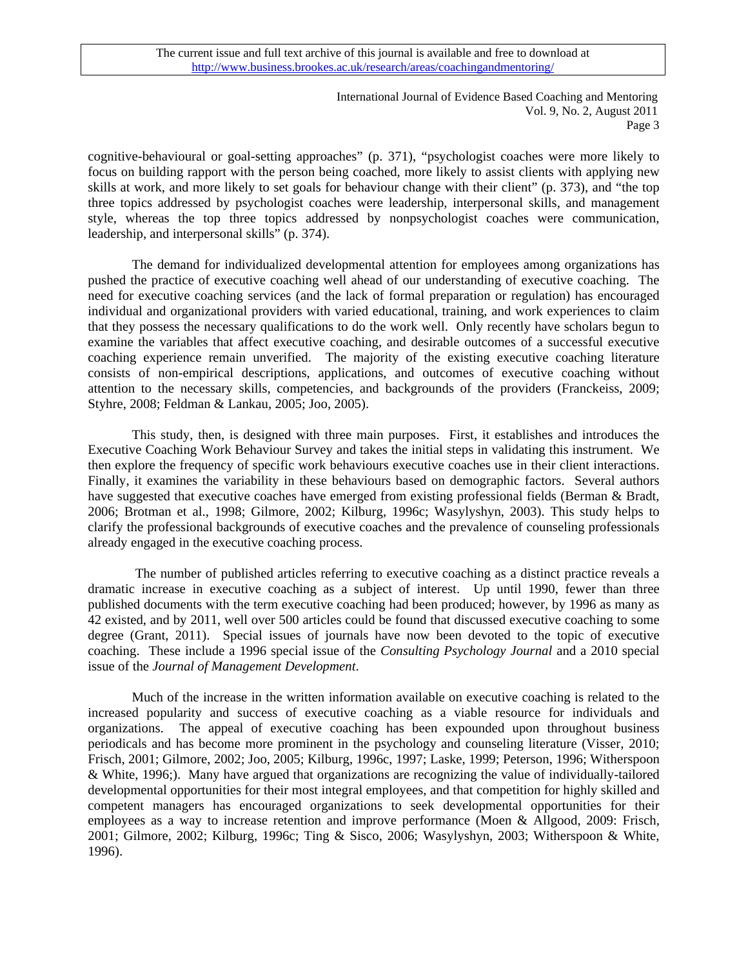> International Journal of Evidence Based Coaching and Mentoring Vol. 9, No. 2, August 2011 Page 3

cognitive-behavioural or goal-setting approaches" (p. 371), "psychologist coaches were more likely to focus on building rapport with the person being coached, more likely to assist clients with applying new skills at work, and more likely to set goals for behaviour change with their client" (p. 373), and "the top three topics addressed by psychologist coaches were leadership, interpersonal skills, and management style, whereas the top three topics addressed by nonpsychologist coaches were communication, leadership, and interpersonal skills" (p. 374).

 The demand for individualized developmental attention for employees among organizations has pushed the practice of executive coaching well ahead of our understanding of executive coaching. The need for executive coaching services (and the lack of formal preparation or regulation) has encouraged individual and organizational providers with varied educational, training, and work experiences to claim that they possess the necessary qualifications to do the work well. Only recently have scholars begun to examine the variables that affect executive coaching, and desirable outcomes of a successful executive coaching experience remain unverified. The majority of the existing executive coaching literature consists of non-empirical descriptions, applications, and outcomes of executive coaching without attention to the necessary skills, competencies, and backgrounds of the providers (Franckeiss, 2009; Styhre, 2008; Feldman & Lankau, 2005; Joo, 2005).

This study, then, is designed with three main purposes. First, it establishes and introduces the Executive Coaching Work Behaviour Survey and takes the initial steps in validating this instrument. We then explore the frequency of specific work behaviours executive coaches use in their client interactions. Finally, it examines the variability in these behaviours based on demographic factors. Several authors have suggested that executive coaches have emerged from existing professional fields (Berman & Bradt, 2006; Brotman et al., 1998; Gilmore, 2002; Kilburg, 1996c; Wasylyshyn, 2003). This study helps to clarify the professional backgrounds of executive coaches and the prevalence of counseling professionals already engaged in the executive coaching process.

 The number of published articles referring to executive coaching as a distinct practice reveals a dramatic increase in executive coaching as a subject of interest. Up until 1990, fewer than three published documents with the term executive coaching had been produced; however, by 1996 as many as 42 existed, and by 2011, well over 500 articles could be found that discussed executive coaching to some degree (Grant, 2011). Special issues of journals have now been devoted to the topic of executive coaching. These include a 1996 special issue of the *Consulting Psychology Journal* and a 2010 special issue of the *Journal of Management Development*.

 Much of the increase in the written information available on executive coaching is related to the increased popularity and success of executive coaching as a viable resource for individuals and organizations. The appeal of executive coaching has been expounded upon throughout business periodicals and has become more prominent in the psychology and counseling literature (Visser, 2010; Frisch, 2001; Gilmore, 2002; Joo, 2005; Kilburg, 1996c, 1997; Laske, 1999; Peterson, 1996; Witherspoon & White, 1996;). Many have argued that organizations are recognizing the value of individually-tailored developmental opportunities for their most integral employees, and that competition for highly skilled and competent managers has encouraged organizations to seek developmental opportunities for their employees as a way to increase retention and improve performance (Moen & Allgood, 2009: Frisch, 2001; Gilmore, 2002; Kilburg, 1996c; Ting & Sisco, 2006; Wasylyshyn, 2003; Witherspoon & White, 1996).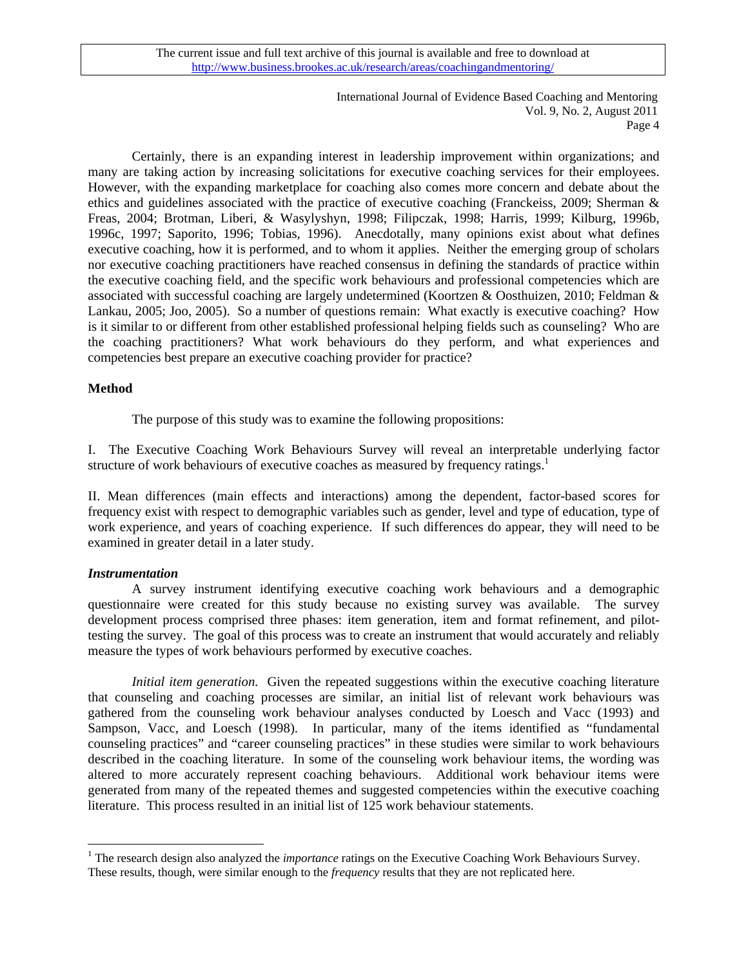> International Journal of Evidence Based Coaching and Mentoring Vol. 9, No. 2, August 2011 Page 4

Certainly, there is an expanding interest in leadership improvement within organizations; and many are taking action by increasing solicitations for executive coaching services for their employees. However, with the expanding marketplace for coaching also comes more concern and debate about the ethics and guidelines associated with the practice of executive coaching (Franckeiss, 2009; Sherman & Freas, 2004; Brotman, Liberi, & Wasylyshyn, 1998; Filipczak, 1998; Harris, 1999; Kilburg, 1996b, 1996c, 1997; Saporito, 1996; Tobias, 1996). Anecdotally, many opinions exist about what defines executive coaching, how it is performed, and to whom it applies. Neither the emerging group of scholars nor executive coaching practitioners have reached consensus in defining the standards of practice within the executive coaching field, and the specific work behaviours and professional competencies which are associated with successful coaching are largely undetermined (Koortzen & Oosthuizen, 2010; Feldman & Lankau, 2005; Joo, 2005). So a number of questions remain: What exactly is executive coaching? How is it similar to or different from other established professional helping fields such as counseling? Who are the coaching practitioners? What work behaviours do they perform, and what experiences and competencies best prepare an executive coaching provider for practice?

## **Method**

The purpose of this study was to examine the following propositions:

I. The Executive Coaching Work Behaviours Survey will reveal an interpretable underlying factor structure of work behaviours of executive coaches as measured by frequency ratings.<sup>[1](#page-3-0)</sup>

II. Mean differences (main effects and interactions) among the dependent, factor-based scores for frequency exist with respect to demographic variables such as gender, level and type of education, type of work experience, and years of coaching experience. If such differences do appear, they will need to be examined in greater detail in a later study.

### *Instrumentation*

 $\overline{a}$ 

 A survey instrument identifying executive coaching work behaviours and a demographic questionnaire were created for this study because no existing survey was available. The survey development process comprised three phases: item generation, item and format refinement, and pilottesting the survey. The goal of this process was to create an instrument that would accurately and reliably measure the types of work behaviours performed by executive coaches.

*Initial item generation.* Given the repeated suggestions within the executive coaching literature that counseling and coaching processes are similar, an initial list of relevant work behaviours was gathered from the counseling work behaviour analyses conducted by Loesch and Vacc (1993) and Sampson, Vacc, and Loesch (1998). In particular, many of the items identified as "fundamental counseling practices" and "career counseling practices" in these studies were similar to work behaviours described in the coaching literature. In some of the counseling work behaviour items, the wording was altered to more accurately represent coaching behaviours. Additional work behaviour items were generated from many of the repeated themes and suggested competencies within the executive coaching literature. This process resulted in an initial list of 125 work behaviour statements.

<span id="page-3-0"></span><sup>&</sup>lt;sup>1</sup> The research design also analyzed the *importance* ratings on the Executive Coaching Work Behaviours Survey. These results, though, were similar enough to the *frequency* results that they are not replicated here.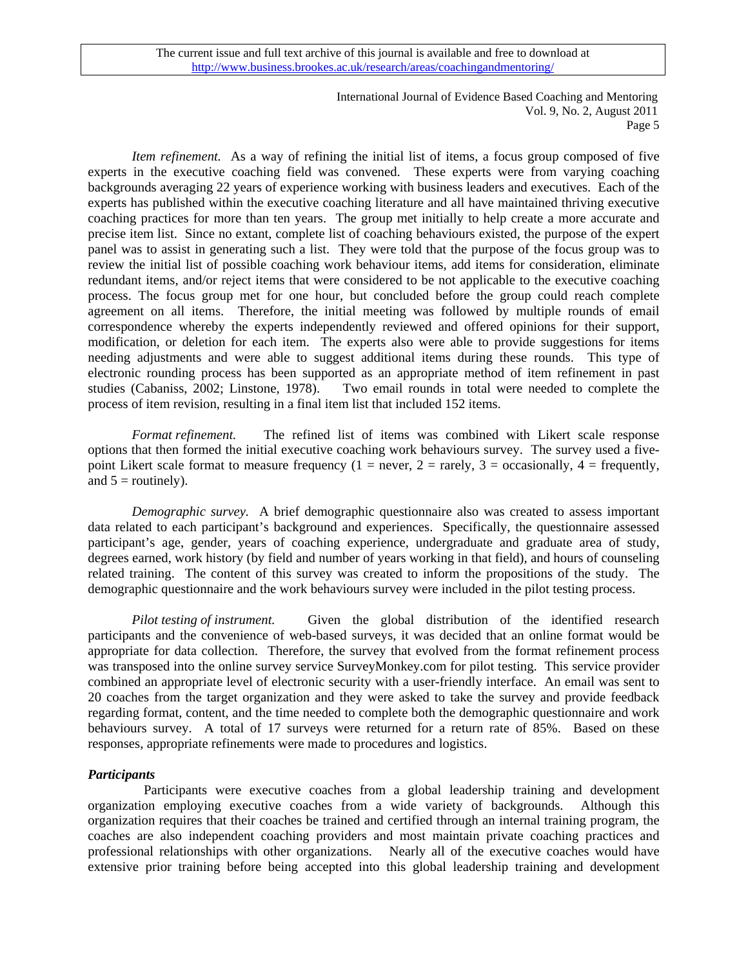> International Journal of Evidence Based Coaching and Mentoring Vol. 9, No. 2, August 2011 Page 5

*Item refinement.* As a way of refining the initial list of items, a focus group composed of five experts in the executive coaching field was convened. These experts were from varying coaching backgrounds averaging 22 years of experience working with business leaders and executives. Each of the experts has published within the executive coaching literature and all have maintained thriving executive coaching practices for more than ten years. The group met initially to help create a more accurate and precise item list. Since no extant, complete list of coaching behaviours existed, the purpose of the expert panel was to assist in generating such a list. They were told that the purpose of the focus group was to review the initial list of possible coaching work behaviour items, add items for consideration, eliminate redundant items, and/or reject items that were considered to be not applicable to the executive coaching process. The focus group met for one hour, but concluded before the group could reach complete agreement on all items. Therefore, the initial meeting was followed by multiple rounds of email correspondence whereby the experts independently reviewed and offered opinions for their support, modification, or deletion for each item. The experts also were able to provide suggestions for items needing adjustments and were able to suggest additional items during these rounds. This type of electronic rounding process has been supported as an appropriate method of item refinement in past studies (Cabaniss, 2002; Linstone, 1978). Two email rounds in total were needed to complete the process of item revision, resulting in a final item list that included 152 items.

*Format refinement.*The refined list of items was combined with Likert scale response options that then formed the initial executive coaching work behaviours survey. The survey used a fivepoint Likert scale format to measure frequency (1 = never, 2 = rarely, 3 = occasionally, 4 = frequently, and  $5 =$  routinely).

*Demographic survey.* A brief demographic questionnaire also was created to assess important data related to each participant's background and experiences. Specifically, the questionnaire assessed participant's age, gender, years of coaching experience, undergraduate and graduate area of study, degrees earned, work history (by field and number of years working in that field), and hours of counseling related training. The content of this survey was created to inform the propositions of the study. The demographic questionnaire and the work behaviours survey were included in the pilot testing process.

*Pilot testing of instrument.*Given the global distribution of the identified research participants and the convenience of web-based surveys, it was decided that an online format would be appropriate for data collection. Therefore, the survey that evolved from the format refinement process was transposed into the online survey service SurveyMonkey.com for pilot testing. This service provider combined an appropriate level of electronic security with a user-friendly interface. An email was sent to 20 coaches from the target organization and they were asked to take the survey and provide feedback regarding format, content, and the time needed to complete both the demographic questionnaire and work behaviours survey. A total of 17 surveys were returned for a return rate of 85%. Based on these responses, appropriate refinements were made to procedures and logistics.

### *Participants*

 Participants were executive coaches from a global leadership training and development organization employing executive coaches from a wide variety of backgrounds. Although this organization requires that their coaches be trained and certified through an internal training program, the coaches are also independent coaching providers and most maintain private coaching practices and professional relationships with other organizations. Nearly all of the executive coaches would have extensive prior training before being accepted into this global leadership training and development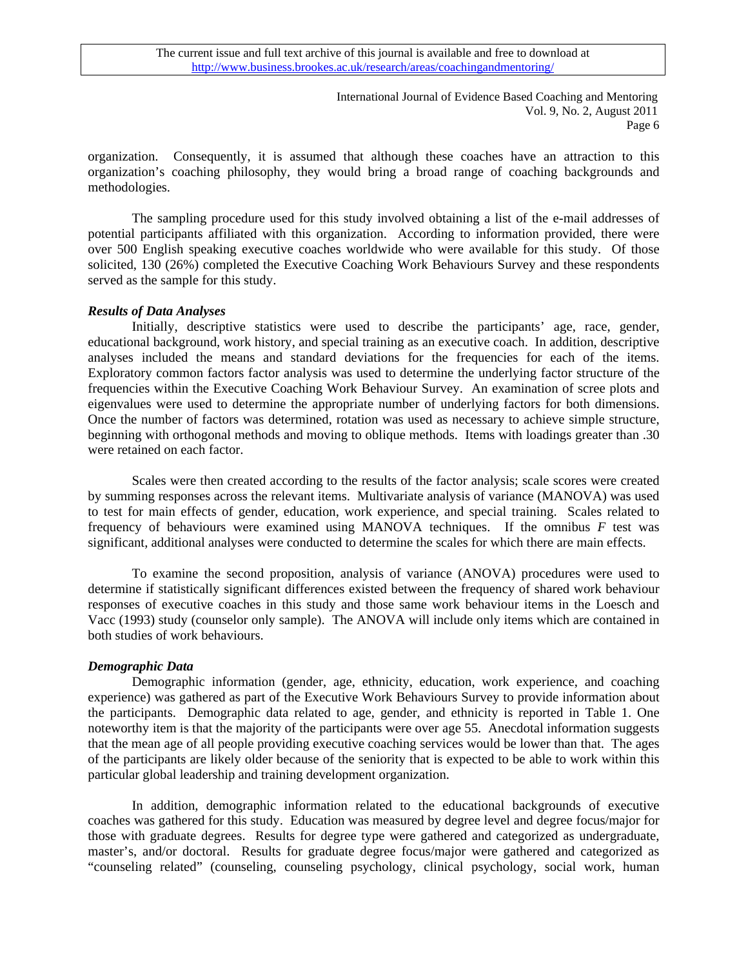International Journal of Evidence Based Coaching and Mentoring Vol. 9, No. 2, August 2011 Page 6

organization. Consequently, it is assumed that although these coaches have an attraction to this organization's coaching philosophy, they would bring a broad range of coaching backgrounds and methodologies.

The sampling procedure used for this study involved obtaining a list of the e-mail addresses of potential participants affiliated with this organization. According to information provided, there were over 500 English speaking executive coaches worldwide who were available for this study. Of those solicited, 130 (26%) completed the Executive Coaching Work Behaviours Survey and these respondents served as the sample for this study.

### *Results of Data Analyses*

Initially, descriptive statistics were used to describe the participants' age, race, gender, educational background, work history, and special training as an executive coach. In addition, descriptive analyses included the means and standard deviations for the frequencies for each of the items. Exploratory common factors factor analysis was used to determine the underlying factor structure of the frequencies within the Executive Coaching Work Behaviour Survey. An examination of scree plots and eigenvalues were used to determine the appropriate number of underlying factors for both dimensions. Once the number of factors was determined, rotation was used as necessary to achieve simple structure, beginning with orthogonal methods and moving to oblique methods. Items with loadings greater than .30 were retained on each factor.

Scales were then created according to the results of the factor analysis; scale scores were created by summing responses across the relevant items. Multivariate analysis of variance (MANOVA) was used to test for main effects of gender, education, work experience, and special training. Scales related to frequency of behaviours were examined using MANOVA techniques. If the omnibus *F* test was significant, additional analyses were conducted to determine the scales for which there are main effects.

 To examine the second proposition, analysis of variance (ANOVA) procedures were used to determine if statistically significant differences existed between the frequency of shared work behaviour responses of executive coaches in this study and those same work behaviour items in the Loesch and Vacc (1993) study (counselor only sample). The ANOVA will include only items which are contained in both studies of work behaviours.

### *Demographic Data*

Demographic information (gender, age, ethnicity, education, work experience, and coaching experience) was gathered as part of the Executive Work Behaviours Survey to provide information about the participants. Demographic data related to age, gender, and ethnicity is reported in Table 1. One noteworthy item is that the majority of the participants were over age 55. Anecdotal information suggests that the mean age of all people providing executive coaching services would be lower than that. The ages of the participants are likely older because of the seniority that is expected to be able to work within this particular global leadership and training development organization.

In addition, demographic information related to the educational backgrounds of executive coaches was gathered for this study. Education was measured by degree level and degree focus/major for those with graduate degrees. Results for degree type were gathered and categorized as undergraduate, master's, and/or doctoral. Results for graduate degree focus/major were gathered and categorized as "counseling related" (counseling, counseling psychology, clinical psychology, social work, human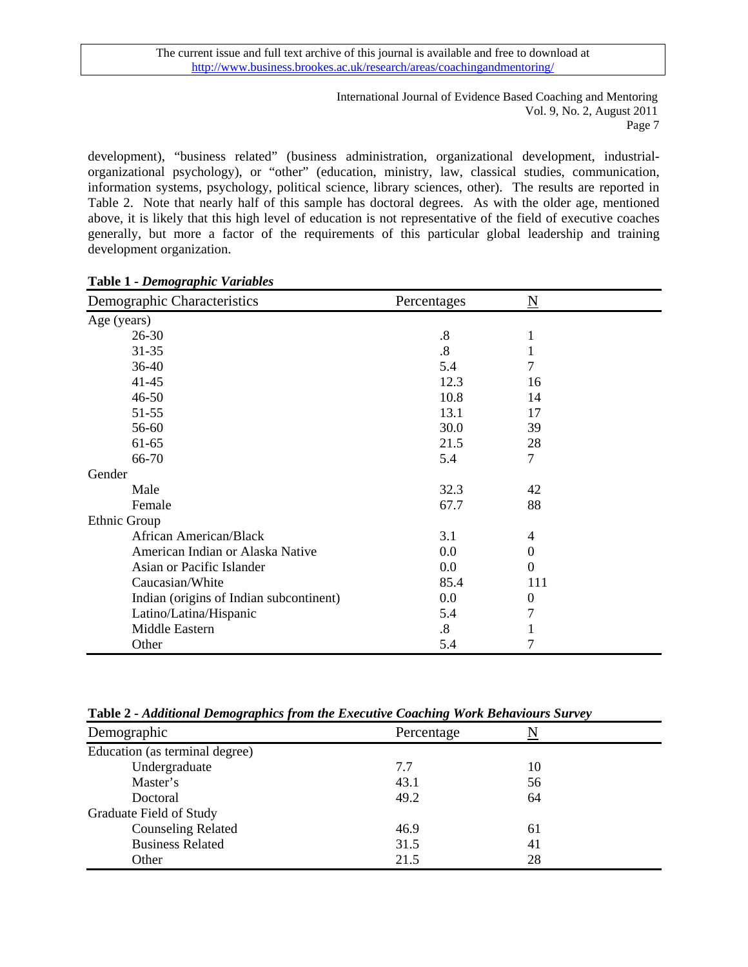International Journal of Evidence Based Coaching and Mentoring Vol. 9, No. 2, August 2011 Page 7

development), "business related" (business administration, organizational development, industrialorganizational psychology), or "other" (education, ministry, law, classical studies, communication, information systems, psychology, political science, library sciences, other). The results are reported in Table 2. Note that nearly half of this sample has doctoral degrees. As with the older age, mentioned above, it is likely that this high level of education is not representative of the field of executive coaches generally, but more a factor of the requirements of this particular global leadership and training development organization.

| Demographic Characteristics             | Percentages       | N        |
|-----------------------------------------|-------------------|----------|
| Age (years)                             |                   |          |
| $26 - 30$                               | .8                |          |
| $31 - 35$                               | .8                |          |
| $36-40$                                 | 5.4               | 7        |
| $41 - 45$                               | 12.3              | 16       |
| $46 - 50$                               | 10.8              | 14       |
| 51-55                                   | 13.1              | 17       |
| 56-60                                   | 30.0              | 39       |
| 61-65                                   | 21.5              | 28       |
| 66-70                                   | 5.4               | 7        |
| Gender                                  |                   |          |
| Male                                    | 32.3              | 42       |
| Female                                  | 67.7              | 88       |
| Ethnic Group                            |                   |          |
| African American/Black                  | 3.1               | 4        |
| American Indian or Alaska Native        | 0.0               | 0        |
| Asian or Pacific Islander               | 0.0               | 0        |
| Caucasian/White                         | 85.4              | 111      |
| Indian (origins of Indian subcontinent) | 0.0               | $\theta$ |
| Latino/Latina/Hispanic                  | 5.4               | 7        |
| Middle Eastern                          | $\boldsymbol{.8}$ |          |
| Other                                   | 5.4               | 7        |

## **Table 1 -** *Demographic Variables*

| Demographic                    | Percentage |    |  |
|--------------------------------|------------|----|--|
| Education (as terminal degree) |            |    |  |
| Undergraduate                  | 7.7        | 10 |  |
| Master's                       | 43.1       | 56 |  |
| Doctoral                       | 49.2       | 64 |  |
| Graduate Field of Study        |            |    |  |
| <b>Counseling Related</b>      | 46.9       | 61 |  |
| <b>Business Related</b>        | 31.5       | 41 |  |
| Other                          | 21.5       | 28 |  |

**Table 2 -** *Additional Demographics from the Executive Coaching Work Behaviours Survey*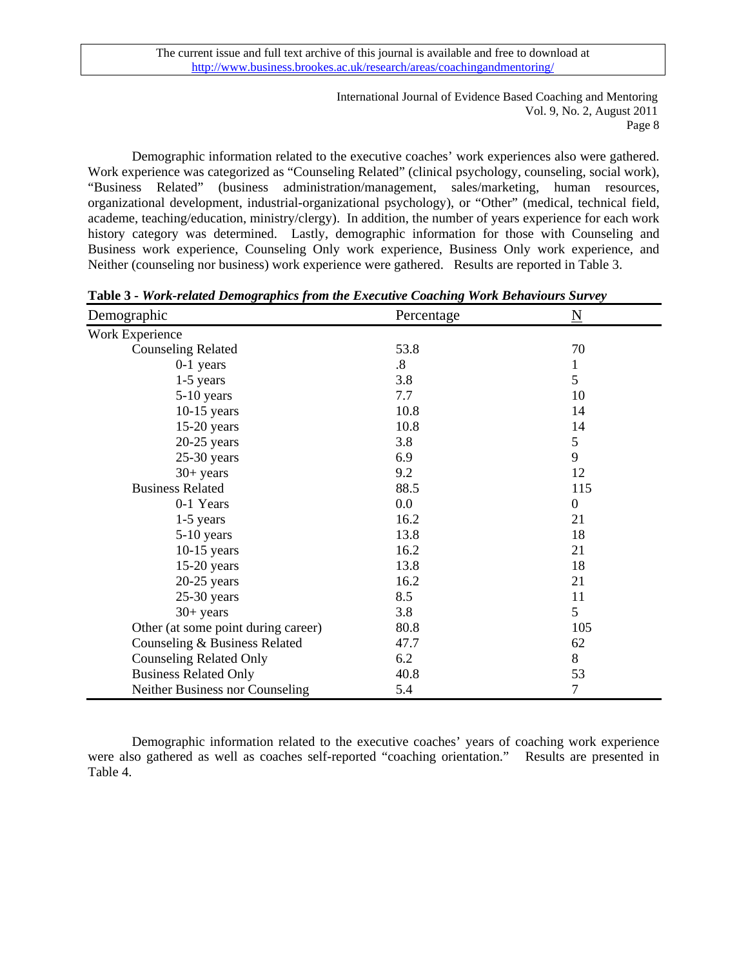> International Journal of Evidence Based Coaching and Mentoring Vol. 9, No. 2, August 2011 Page 8

Demographic information related to the executive coaches' work experiences also were gathered. Work experience was categorized as "Counseling Related" (clinical psychology, counseling, social work), "Business Related" (business administration/management, sales/marketing, human resources, organizational development, industrial-organizational psychology), or "Other" (medical, technical field, academe, teaching/education, ministry/clergy). In addition, the number of years experience for each work history category was determined. Lastly, demographic information for those with Counseling and Business work experience, Counseling Only work experience, Business Only work experience, and Neither (counseling nor business) work experience were gathered. Results are reported in Table 3.

| Demographic                         | Percentage        | N                |
|-------------------------------------|-------------------|------------------|
| Work Experience                     |                   |                  |
| <b>Counseling Related</b>           | 53.8              | 70               |
| $0-1$ years                         | $\boldsymbol{.8}$ | 1                |
| $1-5$ years                         | 3.8               | 5                |
| 5-10 years                          | 7.7               | 10               |
| $10-15$ years                       | 10.8              | 14               |
| $15-20$ years                       | 10.8              | 14               |
| $20-25$ years                       | 3.8               | 5                |
| $25-30$ years                       | 6.9               | 9                |
| $30+$ years                         | 9.2               | 12               |
| <b>Business Related</b>             | 88.5              | 115              |
| 0-1 Years                           | $0.0\,$           | $\boldsymbol{0}$ |
| $1-5$ years                         | 16.2              | 21               |
| $5-10$ years                        | 13.8              | 18               |
| $10-15$ years                       | 16.2              | 21               |
| $15-20$ years                       | 13.8              | 18               |
| $20-25$ years                       | 16.2              | 21               |
| $25-30$ years                       | 8.5               | 11               |
| $30+$ years                         | 3.8               | 5                |
| Other (at some point during career) | 80.8              | 105              |
| Counseling & Business Related       | 47.7              | 62               |
| <b>Counseling Related Only</b>      | 6.2               | 8                |
| <b>Business Related Only</b>        | 40.8              | 53               |
| Neither Business nor Counseling     | 5.4               | 7                |

**Table 3 -** *Work-related Demographics from the Executive Coaching Work Behaviours Survey*

Demographic information related to the executive coaches' years of coaching work experience were also gathered as well as coaches self-reported "coaching orientation." Results are presented in Table 4.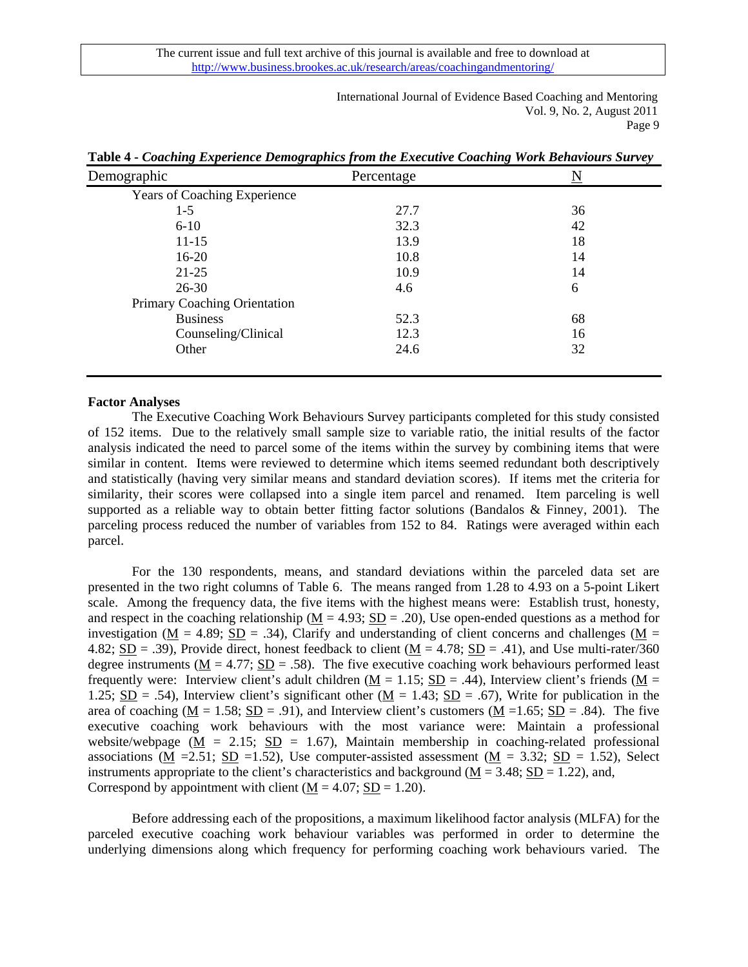> International Journal of Evidence Based Coaching and Mentoring Vol. 9, No. 2, August 2011 Page 9

**Table 4 -** *Coaching Experience Demographics from the Executive Coaching Work Behaviours Survey*

### **Factor Analyses**

 The Executive Coaching Work Behaviours Survey participants completed for this study consisted of 152 items. Due to the relatively small sample size to variable ratio, the initial results of the factor analysis indicated the need to parcel some of the items within the survey by combining items that were similar in content. Items were reviewed to determine which items seemed redundant both descriptively and statistically (having very similar means and standard deviation scores). If items met the criteria for similarity, their scores were collapsed into a single item parcel and renamed. Item parceling is well supported as a reliable way to obtain better fitting factor solutions (Bandalos & Finney, 2001). The parceling process reduced the number of variables from 152 to 84. Ratings were averaged within each parcel.

For the 130 respondents, means, and standard deviations within the parceled data set are presented in the two right columns of Table 6. The means ranged from 1.28 to 4.93 on a 5-point Likert scale. Among the frequency data, the five items with the highest means were: Establish trust, honesty, and respect in the coaching relationship ( $M = 4.93$ ;  $SD = .20$ ), Use open-ended questions as a method for investigation ( $M = 4.89$ ;  $SD = .34$ ), Clarify and understanding of client concerns and challenges ( $M =$ 4.82; SD = .39), Provide direct, honest feedback to client  $(M = 4.78; SD = .41)$ , and Use multi-rater/360 degree instruments ( $\underline{M} = 4.77$ ;  $\underline{SD} = .58$ ). The five executive coaching work behaviours performed least frequently were: Interview client's adult children ( $M = 1.15$ ;  $SD = .44$ ), Interview client's friends ( $M =$ 1.25; SD = .54), Interview client's significant other ( $M = 1.43$ ; SD = .67), Write for publication in the area of coaching  $(M = 1.58; SD = .91)$ , and Interview client's customers  $(M = 1.65; SD = .84)$ . The five executive coaching work behaviours with the most variance were: Maintain a professional website/webpage ( $M = 2.15$ ; SD = 1.67), Maintain membership in coaching-related professional associations (M = 2.51; SD = 1.52), Use computer-assisted assessment (M = 3.32; SD = 1.52), Select instruments appropriate to the client's characteristics and background ( $\underline{M} = 3.48$ ;  $\underline{SD} = 1.22$ ), and, Correspond by appointment with client  $(M = 4.07; SD = 1.20)$ .

Before addressing each of the propositions, a maximum likelihood factor analysis (MLFA) for the parceled executive coaching work behaviour variables was performed in order to determine the underlying dimensions along which frequency for performing coaching work behaviours varied. The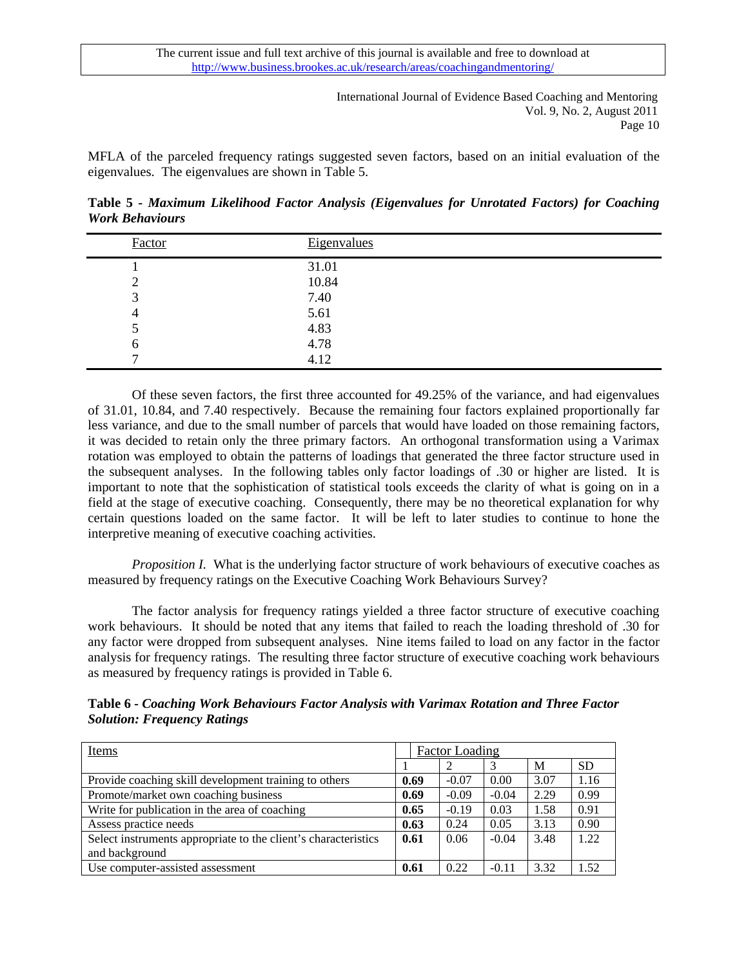International Journal of Evidence Based Coaching and Mentoring Vol. 9, No. 2, August 2011 Page 10

MFLA of the parceled frequency ratings suggested seven factors, based on an initial evaluation of the eigenvalues. The eigenvalues are shown in Table 5.

**Table 5 -** *Maximum Likelihood Factor Analysis (Eigenvalues for Unrotated Factors) for Coaching Work Behaviours* 

| Factor | <b>Eigenvalues</b> |  |
|--------|--------------------|--|
|        | 31.01              |  |
| ി<br>∠ | 10.84              |  |
| 3      | 7.40               |  |
| 4      | 5.61               |  |
| ັ      | 4.83               |  |
| O      | 4.78               |  |
|        | 4.12               |  |

Of these seven factors, the first three accounted for 49.25% of the variance, and had eigenvalues of 31.01, 10.84, and 7.40 respectively. Because the remaining four factors explained proportionally far less variance, and due to the small number of parcels that would have loaded on those remaining factors, it was decided to retain only the three primary factors. An orthogonal transformation using a Varimax rotation was employed to obtain the patterns of loadings that generated the three factor structure used in the subsequent analyses. In the following tables only factor loadings of .30 or higher are listed. It is important to note that the sophistication of statistical tools exceeds the clarity of what is going on in a field at the stage of executive coaching. Consequently, there may be no theoretical explanation for why certain questions loaded on the same factor. It will be left to later studies to continue to hone the interpretive meaning of executive coaching activities.

*Proposition I.* What is the underlying factor structure of work behaviours of executive coaches as measured by frequency ratings on the Executive Coaching Work Behaviours Survey?

 The factor analysis for frequency ratings yielded a three factor structure of executive coaching work behaviours. It should be noted that any items that failed to reach the loading threshold of .30 for any factor were dropped from subsequent analyses. Nine items failed to load on any factor in the factor analysis for frequency ratings. The resulting three factor structure of executive coaching work behaviours as measured by frequency ratings is provided in Table 6.

**Table 6 -** *Coaching Work Behaviours Factor Analysis with Varimax Rotation and Three Factor Solution: Frequency Ratings* 

| Items                                                          |      | <b>Factor Loading</b> |         |      |           |
|----------------------------------------------------------------|------|-----------------------|---------|------|-----------|
|                                                                |      |                       |         | M    | <b>SD</b> |
| Provide coaching skill development training to others          | 0.69 | $-0.07$               | 0.00    | 3.07 | 1.16      |
| Promote/market own coaching business                           | 0.69 | $-0.09$               | $-0.04$ | 2.29 | 0.99      |
| Write for publication in the area of coaching                  | 0.65 | $-0.19$               | 0.03    | 1.58 | 0.91      |
| Assess practice needs                                          | 0.63 | 0.24                  | 0.05    | 3.13 | 0.90      |
| Select instruments appropriate to the client's characteristics | 0.61 | 0.06                  | $-0.04$ | 3.48 | 1.22      |
| and background                                                 |      |                       |         |      |           |
| Use computer-assisted assessment                               | 0.61 | 0.22                  | $-0.11$ | 3.32 | 1.52      |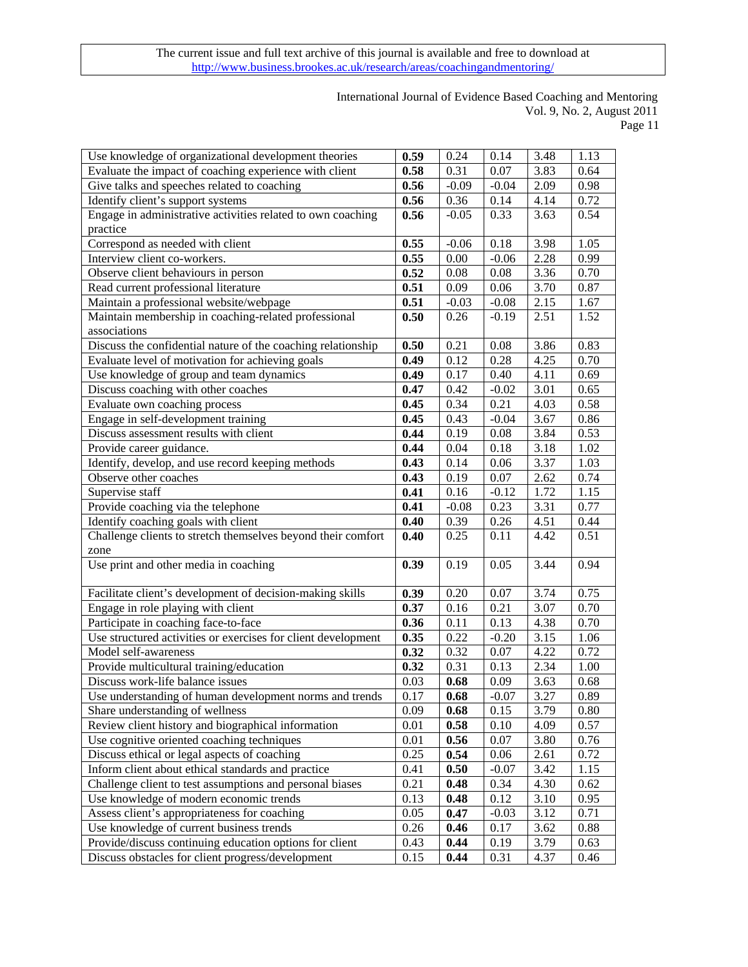# International Journal of Evidence Based Coaching and Mentoring Vol. 9, No. 2, August 2011

Page 11

| Use knowledge of organizational development theories          | 0.59 | 0.24    | 0.14    | 3.48 | 1.13 |
|---------------------------------------------------------------|------|---------|---------|------|------|
| Evaluate the impact of coaching experience with client        | 0.58 | 0.31    | 0.07    | 3.83 | 0.64 |
| Give talks and speeches related to coaching                   | 0.56 | $-0.09$ | $-0.04$ | 2.09 | 0.98 |
| Identify client's support systems                             | 0.56 | 0.36    | 0.14    | 4.14 | 0.72 |
| Engage in administrative activities related to own coaching   | 0.56 | $-0.05$ | 0.33    | 3.63 | 0.54 |
| practice                                                      |      |         |         |      |      |
| Correspond as needed with client                              | 0.55 | $-0.06$ | 0.18    | 3.98 | 1.05 |
| Interview client co-workers.                                  | 0.55 | 0.00    | $-0.06$ | 2.28 | 0.99 |
| Observe client behaviours in person                           | 0.52 | 0.08    | 0.08    | 3.36 | 0.70 |
| Read current professional literature                          | 0.51 | 0.09    | 0.06    | 3.70 | 0.87 |
| Maintain a professional website/webpage                       | 0.51 | $-0.03$ | $-0.08$ | 2.15 | 1.67 |
| Maintain membership in coaching-related professional          | 0.50 | 0.26    | $-0.19$ | 2.51 | 1.52 |
| associations                                                  |      |         |         |      |      |
| Discuss the confidential nature of the coaching relationship  | 0.50 | 0.21    | 0.08    | 3.86 | 0.83 |
| Evaluate level of motivation for achieving goals              | 0.49 | 0.12    | 0.28    | 4.25 | 0.70 |
| Use knowledge of group and team dynamics                      | 0.49 | 0.17    | 0.40    | 4.11 | 0.69 |
| Discuss coaching with other coaches                           | 0.47 | 0.42    | $-0.02$ | 3.01 | 0.65 |
| Evaluate own coaching process                                 | 0.45 | 0.34    | 0.21    | 4.03 | 0.58 |
| Engage in self-development training                           | 0.45 | 0.43    | $-0.04$ | 3.67 | 0.86 |
| Discuss assessment results with client                        | 0.44 | 0.19    | 0.08    | 3.84 | 0.53 |
| Provide career guidance.                                      | 0.44 | 0.04    | 0.18    | 3.18 | 1.02 |
| Identify, develop, and use record keeping methods             | 0.43 | 0.14    | 0.06    | 3.37 | 1.03 |
| Observe other coaches                                         | 0.43 | 0.19    | 0.07    | 2.62 | 0.74 |
| Supervise staff                                               | 0.41 | 0.16    | $-0.12$ | 1.72 | 1.15 |
| Provide coaching via the telephone                            | 0.41 | $-0.08$ | 0.23    | 3.31 | 0.77 |
| Identify coaching goals with client                           | 0.40 | 0.39    | 0.26    | 4.51 | 0.44 |
| Challenge clients to stretch themselves beyond their comfort  | 0.40 | 0.25    | 0.11    | 4.42 | 0.51 |
| zone                                                          |      |         |         |      |      |
| Use print and other media in coaching                         | 0.39 | 0.19    | 0.05    | 3.44 | 0.94 |
|                                                               |      |         |         |      |      |
| Facilitate client's development of decision-making skills     | 0.39 | 0.20    | 0.07    | 3.74 | 0.75 |
| Engage in role playing with client                            | 0.37 | 0.16    | 0.21    | 3.07 | 0.70 |
| Participate in coaching face-to-face                          | 0.36 | 0.11    | 0.13    | 4.38 | 0.70 |
| Use structured activities or exercises for client development | 0.35 | 0.22    | $-0.20$ | 3.15 | 1.06 |
| Model self-awareness                                          | 0.32 | 0.32    | 0.07    | 4.22 | 0.72 |
| Provide multicultural training/education                      | 0.32 | 0.31    | 0.13    | 2.34 | 1.00 |
| Discuss work-life balance issues                              | 0.03 | 0.68    | 0.09    | 3.63 | 0.68 |
| Use understanding of human development norms and trends       | 0.17 | 0.68    | $-0.07$ | 3.27 | 0.89 |
| Share understanding of wellness                               | 0.09 | 0.68    | 0.15    | 3.79 | 0.80 |
| Review client history and biographical information            | 0.01 | 0.58    | 0.10    | 4.09 | 0.57 |
| Use cognitive oriented coaching techniques                    | 0.01 | 0.56    | 0.07    | 3.80 | 0.76 |
| Discuss ethical or legal aspects of coaching                  | 0.25 | 0.54    | 0.06    | 2.61 | 0.72 |
| Inform client about ethical standards and practice            | 0.41 | 0.50    | $-0.07$ | 3.42 | 1.15 |
| Challenge client to test assumptions and personal biases      | 0.21 | 0.48    | 0.34    | 4.30 | 0.62 |
| Use knowledge of modern economic trends                       | 0.13 | 0.48    | 0.12    | 3.10 | 0.95 |
| Assess client's appropriateness for coaching                  | 0.05 | 0.47    | $-0.03$ | 3.12 | 0.71 |
| Use knowledge of current business trends                      | 0.26 | 0.46    | 0.17    | 3.62 | 0.88 |
| Provide/discuss continuing education options for client       | 0.43 | 0.44    | 0.19    | 3.79 | 0.63 |
| Discuss obstacles for client progress/development             | 0.15 | 0.44    | 0.31    | 4.37 | 0.46 |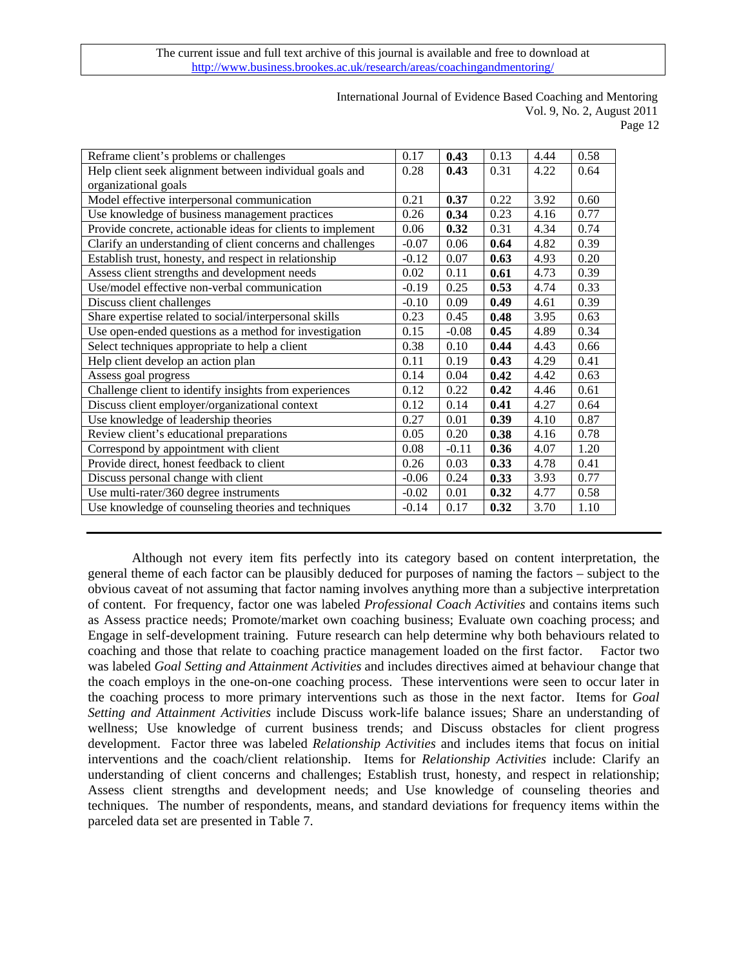# International Journal of Evidence Based Coaching and Mentoring Vol. 9, No. 2, August 2011

Page 12

| Reframe client's problems or challenges                     | 0.17    | 0.43    | 0.13 | 4.44 | 0.58 |
|-------------------------------------------------------------|---------|---------|------|------|------|
| Help client seek alignment between individual goals and     | 0.28    | 0.43    | 0.31 | 4.22 | 0.64 |
| organizational goals                                        |         |         |      |      |      |
| Model effective interpersonal communication                 | 0.21    | 0.37    | 0.22 | 3.92 | 0.60 |
| Use knowledge of business management practices              | 0.26    | 0.34    | 0.23 | 4.16 | 0.77 |
| Provide concrete, actionable ideas for clients to implement | 0.06    | 0.32    | 0.31 | 4.34 | 0.74 |
| Clarify an understanding of client concerns and challenges  | $-0.07$ | 0.06    | 0.64 | 4.82 | 0.39 |
| Establish trust, honesty, and respect in relationship       | $-0.12$ | 0.07    | 0.63 | 4.93 | 0.20 |
| Assess client strengths and development needs               | 0.02    | 0.11    | 0.61 | 4.73 | 0.39 |
| Use/model effective non-verbal communication                | $-0.19$ | 0.25    | 0.53 | 4.74 | 0.33 |
| Discuss client challenges                                   | $-0.10$ | 0.09    | 0.49 | 4.61 | 0.39 |
| Share expertise related to social/interpersonal skills      | 0.23    | 0.45    | 0.48 | 3.95 | 0.63 |
| Use open-ended questions as a method for investigation      | 0.15    | $-0.08$ | 0.45 | 4.89 | 0.34 |
| Select techniques appropriate to help a client              | 0.38    | 0.10    | 0.44 | 4.43 | 0.66 |
| Help client develop an action plan                          | 0.11    | 0.19    | 0.43 | 4.29 | 0.41 |
| Assess goal progress                                        | 0.14    | 0.04    | 0.42 | 4.42 | 0.63 |
| Challenge client to identify insights from experiences      | 0.12    | 0.22    | 0.42 | 4.46 | 0.61 |
| Discuss client employer/organizational context              | 0.12    | 0.14    | 0.41 | 4.27 | 0.64 |
| Use knowledge of leadership theories                        | 0.27    | 0.01    | 0.39 | 4.10 | 0.87 |
| Review client's educational preparations                    | 0.05    | 0.20    | 0.38 | 4.16 | 0.78 |
| Correspond by appointment with client                       | 0.08    | $-0.11$ | 0.36 | 4.07 | 1.20 |
| Provide direct, honest feedback to client                   | 0.26    | 0.03    | 0.33 | 4.78 | 0.41 |
| Discuss personal change with client                         | $-0.06$ | 0.24    | 0.33 | 3.93 | 0.77 |
| Use multi-rater/360 degree instruments                      | $-0.02$ | 0.01    | 0.32 | 4.77 | 0.58 |
| Use knowledge of counseling theories and techniques         | $-0.14$ | 0.17    | 0.32 | 3.70 | 1.10 |

Although not every item fits perfectly into its category based on content interpretation, the general theme of each factor can be plausibly deduced for purposes of naming the factors – subject to the obvious caveat of not assuming that factor naming involves anything more than a subjective interpretation of content. For frequency, factor one was labeled *Professional Coach Activities* and contains items such as Assess practice needs; Promote/market own coaching business; Evaluate own coaching process; and Engage in self-development training. Future research can help determine why both behaviours related to coaching and those that relate to coaching practice management loaded on the first factor.Factor two was labeled *Goal Setting and Attainment Activities* and includes directives aimed at behaviour change that the coach employs in the one-on-one coaching process. These interventions were seen to occur later in the coaching process to more primary interventions such as those in the next factor. Items for *Goal Setting and Attainment Activities* include Discuss work-life balance issues; Share an understanding of wellness; Use knowledge of current business trends; and Discuss obstacles for client progress development. Factor three was labeled *Relationship Activities* and includes items that focus on initial interventions and the coach/client relationship. Items for *Relationship Activities* include: Clarify an understanding of client concerns and challenges; Establish trust, honesty, and respect in relationship; Assess client strengths and development needs; and Use knowledge of counseling theories and techniques. The number of respondents, means, and standard deviations for frequency items within the parceled data set are presented in Table 7.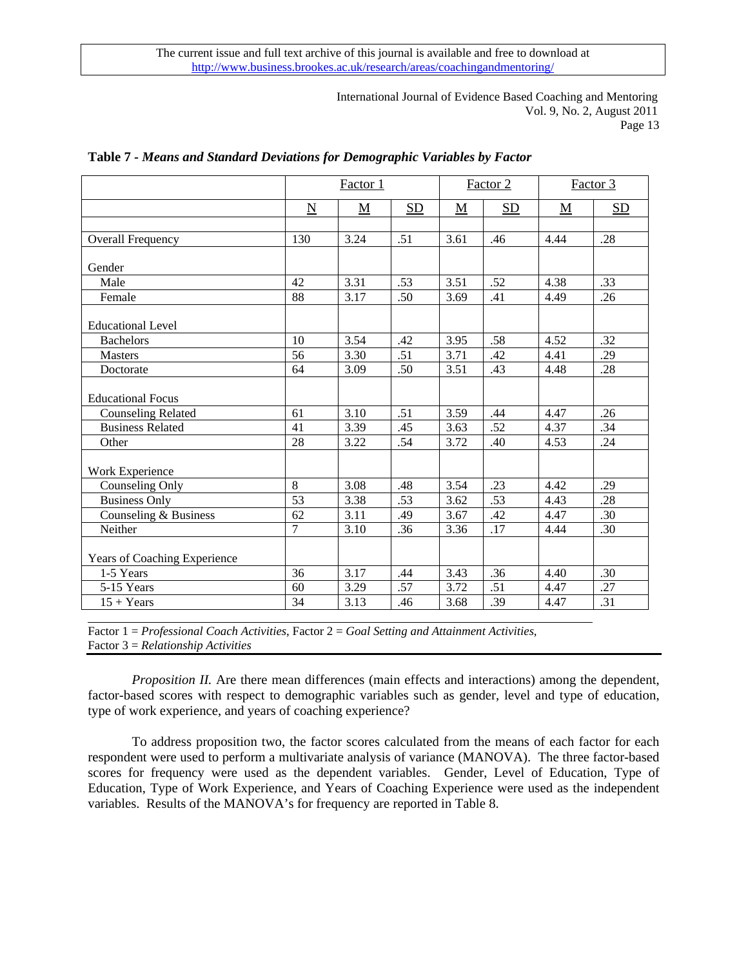> International Journal of Evidence Based Coaching and Mentoring Vol. 9, No. 2, August 2011 Page 13

|                              |                     | Factor 1                 |     |                          | Factor 2 |           | Factor 3 |
|------------------------------|---------------------|--------------------------|-----|--------------------------|----------|-----------|----------|
|                              | $\underline{\rm N}$ | $\underline{\mathbf{M}}$ | SD  | $\underline{\mathbf{M}}$ | SD       | ${\bf M}$ | SD       |
|                              |                     |                          |     |                          |          |           |          |
| <b>Overall Frequency</b>     | 130                 | 3.24                     | .51 | 3.61                     | .46      | 4.44      | .28      |
|                              |                     |                          |     |                          |          |           |          |
| Gender                       |                     |                          |     |                          |          |           |          |
| Male                         | 42                  | 3.31                     | .53 | 3.51                     | .52      | 4.38      | .33      |
| Female                       | 88                  | 3.17                     | .50 | 3.69                     | .41      | 4.49      | .26      |
| <b>Educational Level</b>     |                     |                          |     |                          |          |           |          |
| <b>Bachelors</b>             | 10                  | 3.54                     | .42 | 3.95                     | .58      | 4.52      | .32      |
| <b>Masters</b>               | 56                  | 3.30                     | .51 | 3.71                     | .42      | 4.41      | .29      |
| Doctorate                    | 64                  | 3.09                     | .50 | 3.51                     | .43      | 4.48      | .28      |
| <b>Educational Focus</b>     |                     |                          |     |                          |          |           |          |
| <b>Counseling Related</b>    | 61                  | 3.10                     | .51 | 3.59                     | .44      | 4.47      | .26      |
| <b>Business Related</b>      | 41                  | 3.39                     | .45 | 3.63                     | .52      | 4.37      | .34      |
| Other                        | 28                  | 3.22                     | .54 | 3.72                     | .40      | 4.53      | .24      |
| Work Experience              |                     |                          |     |                          |          |           |          |
| Counseling Only              | 8                   | 3.08                     | .48 | 3.54                     | .23      | 4.42      | .29      |
| <b>Business Only</b>         | 53                  | 3.38                     | .53 | 3.62                     | .53      | 4.43      | .28      |
| Counseling & Business        | 62                  | 3.11                     | .49 | 3.67                     | .42      | 4.47      | .30      |
| Neither                      | 7                   | 3.10                     | .36 | 3.36                     | .17      | 4.44      | .30      |
| Years of Coaching Experience |                     |                          |     |                          |          |           |          |
| 1-5 Years                    | 36                  | 3.17                     | .44 | 3.43                     | .36      | 4.40      | .30      |
| 5-15 Years                   | 60                  | 3.29                     | .57 | 3.72                     | .51      | 4.47      | .27      |
| $15 + Years$                 | 34                  | 3.13                     | .46 | 3.68                     | .39      | 4.47      | .31      |

## **Table 7 -** *Means and Standard Deviations for Demographic Variables by Factor*

Factor 1 = *Professional Coach Activities*, Factor 2 = *Goal Setting and Attainment Activities*, Factor 3 = *Relationship Activities*

*Proposition II.* Are there mean differences (main effects and interactions) among the dependent, factor-based scores with respect to demographic variables such as gender, level and type of education, type of work experience, and years of coaching experience?

To address proposition two, the factor scores calculated from the means of each factor for each respondent were used to perform a multivariate analysis of variance (MANOVA). The three factor-based scores for frequency were used as the dependent variables. Gender, Level of Education, Type of Education, Type of Work Experience, and Years of Coaching Experience were used as the independent variables. Results of the MANOVA's for frequency are reported in Table 8.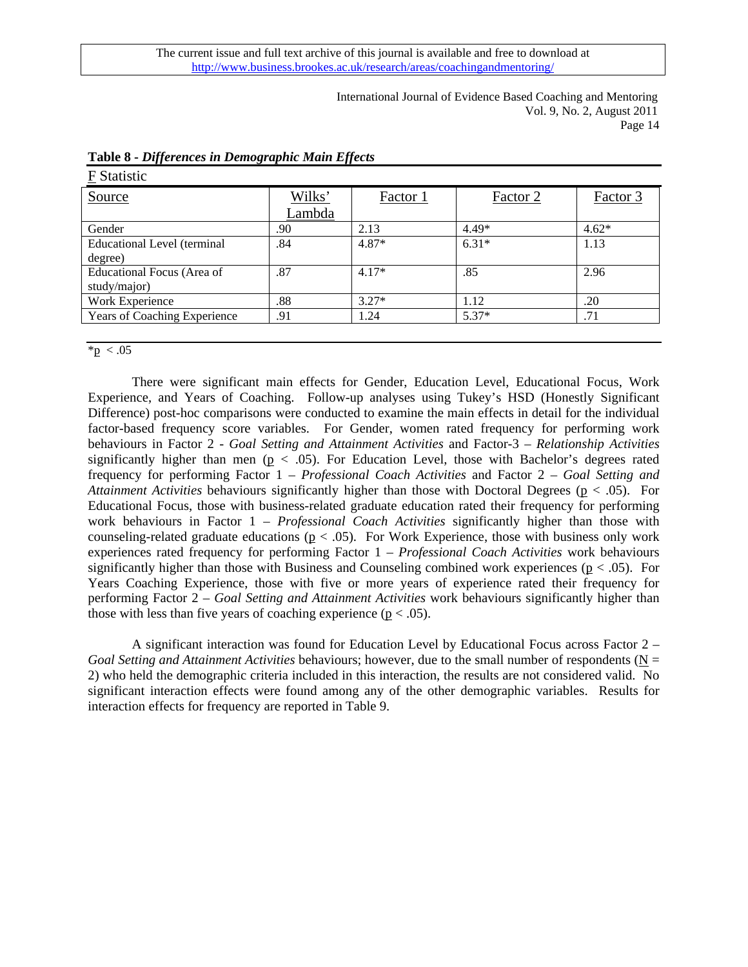> International Journal of Evidence Based Coaching and Mentoring Vol. 9, No. 2, August 2011 Page 14

| F Statistic                         |        |          |          |          |
|-------------------------------------|--------|----------|----------|----------|
| Source                              | Wilks' | Factor 1 | Factor 2 | Factor 3 |
|                                     | Lambda |          |          |          |
| Gender                              | .90    | 2.13     | $4.49*$  | $4.62*$  |
| <b>Educational Level (terminal</b>  | .84    | $4.87*$  | $6.31*$  | 1.13     |
| degree)                             |        |          |          |          |
| Educational Focus (Area of          | .87    | $4.17*$  | .85      | 2.96     |
| study/major)                        |        |          |          |          |
| Work Experience                     | .88    | $3.27*$  | 1.12     | .20      |
| <b>Years of Coaching Experience</b> | .91    | 1.24     | $5.37*$  | .71      |
|                                     |        |          |          |          |

### **Table 8 -** *Differences in Demographic Main Effects*

 $*_{p} < .05$ 

There were significant main effects for Gender, Education Level, Educational Focus, Work Experience, and Years of Coaching. Follow-up analyses using Tukey's HSD (Honestly Significant Difference) post-hoc comparisons were conducted to examine the main effects in detail for the individual factor-based frequency score variables. For Gender, women rated frequency for performing work behaviours in Factor 2 - *Goal Setting and Attainment Activities* and Factor-3 – *Relationship Activities* significantly higher than men ( $p < .05$ ). For Education Level, those with Bachelor's degrees rated frequency for performing Factor 1 – *Professional Coach Activities* and Factor 2 – *Goal Setting and Attainment Activities* behaviours significantly higher than those with Doctoral Degrees (p < .05). For Educational Focus, those with business-related graduate education rated their frequency for performing work behaviours in Factor 1 – *Professional Coach Activities* significantly higher than those with counseling-related graduate educations ( $p < .05$ ). For Work Experience, those with business only work experiences rated frequency for performing Factor 1 – *Professional Coach Activities* work behaviours significantly higher than those with Business and Counseling combined work experiences ( $p < .05$ ). For Years Coaching Experience, those with five or more years of experience rated their frequency for performing Factor 2 – *Goal Setting and Attainment Activities* work behaviours significantly higher than those with less than five years of coaching experience ( $p < .05$ ).

A significant interaction was found for Education Level by Educational Focus across Factor 2 – *Goal Setting and Attainment Activities* behaviours; however, due to the small number of respondents ( $N =$ 2) who held the demographic criteria included in this interaction, the results are not considered valid. No significant interaction effects were found among any of the other demographic variables. Results for interaction effects for frequency are reported in Table 9.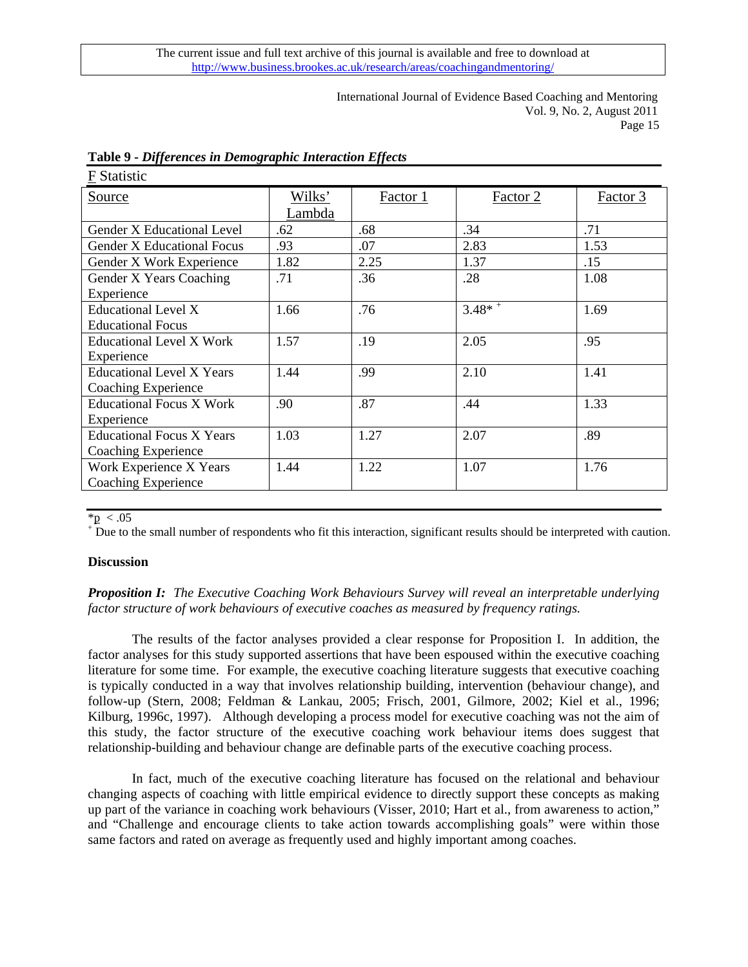> International Journal of Evidence Based Coaching and Mentoring Vol. 9, No. 2, August 2011 Page 15

| <b>F</b> Statistic                |        |          |                      |          |
|-----------------------------------|--------|----------|----------------------|----------|
| Source                            | Wilks' | Factor 1 | Factor 2             | Factor 3 |
|                                   | Lambda |          |                      |          |
| Gender X Educational Level        | .62    | .68      | .34                  | .71      |
| <b>Gender X Educational Focus</b> | .93    | .07      | 2.83                 | 1.53     |
| Gender X Work Experience          | 1.82   | 2.25     | 1.37                 | .15      |
| Gender X Years Coaching           | .71    | .36      | .28                  | 1.08     |
| Experience                        |        |          |                      |          |
| <b>Educational Level X</b>        | 1.66   | .76      | $3.48*$ <sup>+</sup> | 1.69     |
| <b>Educational Focus</b>          |        |          |                      |          |
| <b>Educational Level X Work</b>   | 1.57   | .19      | 2.05                 | .95      |
| Experience                        |        |          |                      |          |
| <b>Educational Level X Years</b>  | 1.44   | .99      | 2.10                 | 1.41     |
| Coaching Experience               |        |          |                      |          |
| <b>Educational Focus X Work</b>   | .90    | .87      | .44                  | 1.33     |
| Experience                        |        |          |                      |          |
| <b>Educational Focus X Years</b>  | 1.03   | 1.27     | 2.07                 | .89      |
| Coaching Experience               |        |          |                      |          |
| Work Experience X Years           | 1.44   | 1.22     | 1.07                 | 1.76     |
| <b>Coaching Experience</b>        |        |          |                      |          |

|  | Table 9 - Differences in Demographic Interaction Effects |  |
|--|----------------------------------------------------------|--|
|  |                                                          |  |

### $*_{\mathbf{p}} < .05$

Due to the small number of respondents who fit this interaction, significant results should be interpreted with caution.

### **Discussion**

## *Proposition I: The Executive Coaching Work Behaviours Survey will reveal an interpretable underlying factor structure of work behaviours of executive coaches as measured by frequency ratings.*

The results of the factor analyses provided a clear response for Proposition I. In addition, the factor analyses for this study supported assertions that have been espoused within the executive coaching literature for some time. For example, the executive coaching literature suggests that executive coaching is typically conducted in a way that involves relationship building, intervention (behaviour change), and follow-up (Stern, 2008; Feldman & Lankau, 2005; Frisch, 2001, Gilmore, 2002; Kiel et al., 1996; Kilburg, 1996c, 1997). Although developing a process model for executive coaching was not the aim of this study, the factor structure of the executive coaching work behaviour items does suggest that relationship-building and behaviour change are definable parts of the executive coaching process.

In fact, much of the executive coaching literature has focused on the relational and behaviour changing aspects of coaching with little empirical evidence to directly support these concepts as making up part of the variance in coaching work behaviours (Visser, 2010; Hart et al., from awareness to action," and "Challenge and encourage clients to take action towards accomplishing goals" were within those same factors and rated on average as frequently used and highly important among coaches.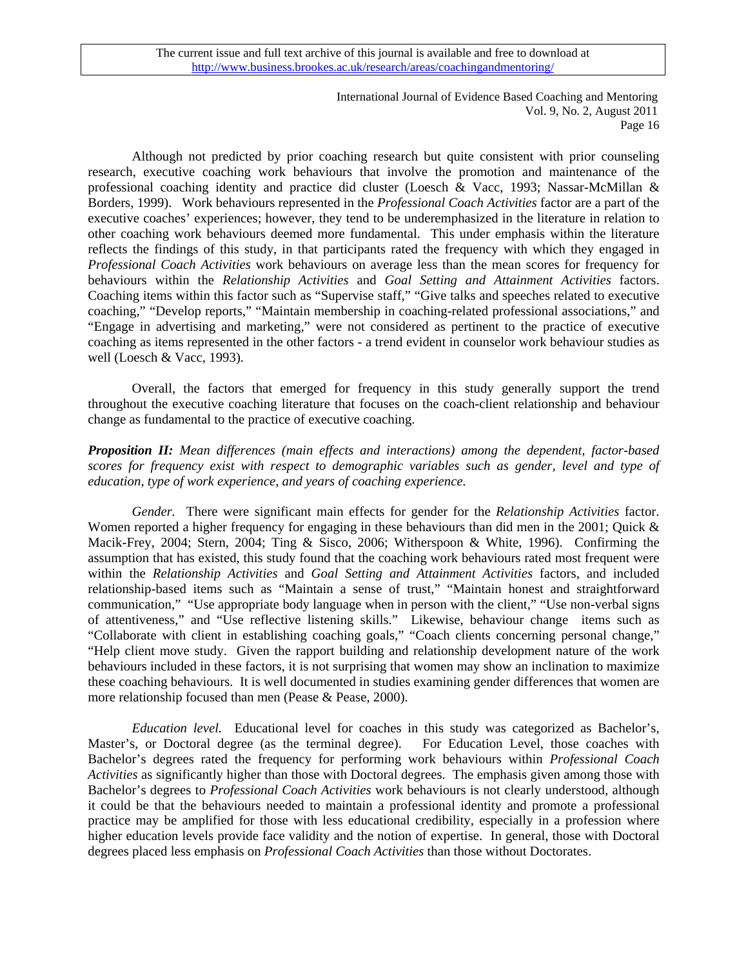> International Journal of Evidence Based Coaching and Mentoring Vol. 9, No. 2, August 2011 Page 16

Although not predicted by prior coaching research but quite consistent with prior counseling research, executive coaching work behaviours that involve the promotion and maintenance of the professional coaching identity and practice did cluster (Loesch & Vacc, 1993; Nassar-McMillan & Borders, 1999). Work behaviours represented in the *Professional Coach Activities* factor are a part of the executive coaches' experiences; however, they tend to be underemphasized in the literature in relation to other coaching work behaviours deemed more fundamental. This under emphasis within the literature reflects the findings of this study, in that participants rated the frequency with which they engaged in *Professional Coach Activities* work behaviours on average less than the mean scores for frequency for behaviours within the *Relationship Activities* and *Goal Setting and Attainment Activities* factors. Coaching items within this factor such as "Supervise staff," "Give talks and speeches related to executive coaching," "Develop reports," "Maintain membership in coaching-related professional associations," and "Engage in advertising and marketing," were not considered as pertinent to the practice of executive coaching as items represented in the other factors - a trend evident in counselor work behaviour studies as well (Loesch & Vacc, 1993).

Overall, the factors that emerged for frequency in this study generally support the trend throughout the executive coaching literature that focuses on the coach-client relationship and behaviour change as fundamental to the practice of executive coaching.

## *Proposition II: Mean differences (main effects and interactions) among the dependent, factor-based scores for frequency exist with respect to demographic variables such as gender, level and type of education, type of work experience, and years of coaching experience.*

*Gender.* There were significant main effects for gender for the *Relationship Activities* factor. Women reported a higher frequency for engaging in these behaviours than did men in the 2001; Quick & Macik-Frey, 2004; Stern, 2004; Ting & Sisco, 2006; Witherspoon & White, 1996). Confirming the assumption that has existed, this study found that the coaching work behaviours rated most frequent were within the *Relationship Activities* and *Goal Setting and Attainment Activities* factors, and included relationship-based items such as "Maintain a sense of trust," "Maintain honest and straightforward communication," "Use appropriate body language when in person with the client," "Use non-verbal signs of attentiveness," and "Use reflective listening skills." Likewise, behaviour change items such as "Collaborate with client in establishing coaching goals," "Coach clients concerning personal change," "Help client move study. Given the rapport building and relationship development nature of the work behaviours included in these factors, it is not surprising that women may show an inclination to maximize these coaching behaviours. It is well documented in studies examining gender differences that women are more relationship focused than men (Pease & Pease, 2000).

*Education level.* Educational level for coaches in this study was categorized as Bachelor's, Master's, or Doctoral degree (as the terminal degree). For Education Level, those coaches with Bachelor's degrees rated the frequency for performing work behaviours within *Professional Coach Activities* as significantly higher than those with Doctoral degrees. The emphasis given among those with Bachelor's degrees to *Professional Coach Activities* work behaviours is not clearly understood, although it could be that the behaviours needed to maintain a professional identity and promote a professional practice may be amplified for those with less educational credibility, especially in a profession where higher education levels provide face validity and the notion of expertise. In general, those with Doctoral degrees placed less emphasis on *Professional Coach Activities* than those without Doctorates.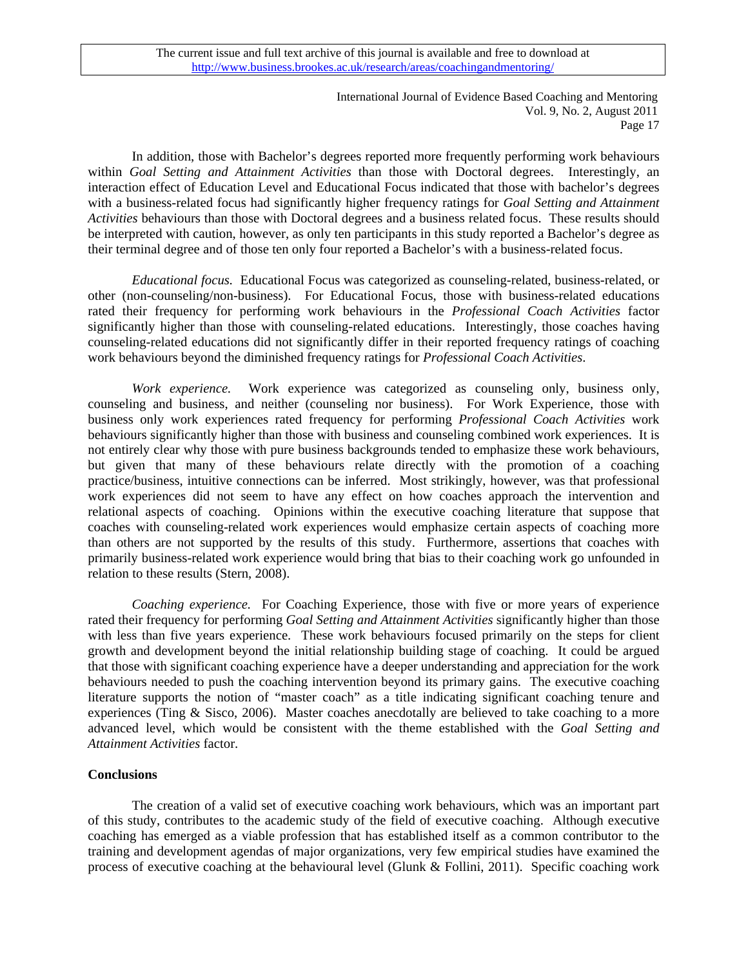> International Journal of Evidence Based Coaching and Mentoring Vol. 9, No. 2, August 2011 Page 17

In addition, those with Bachelor's degrees reported more frequently performing work behaviours within *Goal Setting and Attainment Activities* than those with Doctoral degrees. Interestingly, an interaction effect of Education Level and Educational Focus indicated that those with bachelor's degrees with a business-related focus had significantly higher frequency ratings for *Goal Setting and Attainment Activities* behaviours than those with Doctoral degrees and a business related focus. These results should be interpreted with caution, however, as only ten participants in this study reported a Bachelor's degree as their terminal degree and of those ten only four reported a Bachelor's with a business-related focus.

*Educational focus.* Educational Focus was categorized as counseling-related, business-related, or other (non-counseling/non-business). For Educational Focus, those with business-related educations rated their frequency for performing work behaviours in the *Professional Coach Activities* factor significantly higher than those with counseling-related educations. Interestingly, those coaches having counseling-related educations did not significantly differ in their reported frequency ratings of coaching work behaviours beyond the diminished frequency ratings for *Professional Coach Activities*.

*Work experience.* Work experience was categorized as counseling only, business only, counseling and business, and neither (counseling nor business). For Work Experience, those with business only work experiences rated frequency for performing *Professional Coach Activities* work behaviours significantly higher than those with business and counseling combined work experiences. It is not entirely clear why those with pure business backgrounds tended to emphasize these work behaviours, but given that many of these behaviours relate directly with the promotion of a coaching practice/business, intuitive connections can be inferred. Most strikingly, however, was that professional work experiences did not seem to have any effect on how coaches approach the intervention and relational aspects of coaching. Opinions within the executive coaching literature that suppose that coaches with counseling-related work experiences would emphasize certain aspects of coaching more than others are not supported by the results of this study. Furthermore, assertions that coaches with primarily business-related work experience would bring that bias to their coaching work go unfounded in relation to these results (Stern, 2008).

*Coaching experience.* For Coaching Experience, those with five or more years of experience rated their frequency for performing *Goal Setting and Attainment Activities* significantly higher than those with less than five years experience. These work behaviours focused primarily on the steps for client growth and development beyond the initial relationship building stage of coaching. It could be argued that those with significant coaching experience have a deeper understanding and appreciation for the work behaviours needed to push the coaching intervention beyond its primary gains. The executive coaching literature supports the notion of "master coach" as a title indicating significant coaching tenure and experiences (Ting & Sisco, 2006). Master coaches anecdotally are believed to take coaching to a more advanced level, which would be consistent with the theme established with the *Goal Setting and Attainment Activities* factor.

## **Conclusions**

 The creation of a valid set of executive coaching work behaviours, which was an important part of this study, contributes to the academic study of the field of executive coaching. Although executive coaching has emerged as a viable profession that has established itself as a common contributor to the training and development agendas of major organizations, very few empirical studies have examined the process of executive coaching at the behavioural level (Glunk & Follini, 2011). Specific coaching work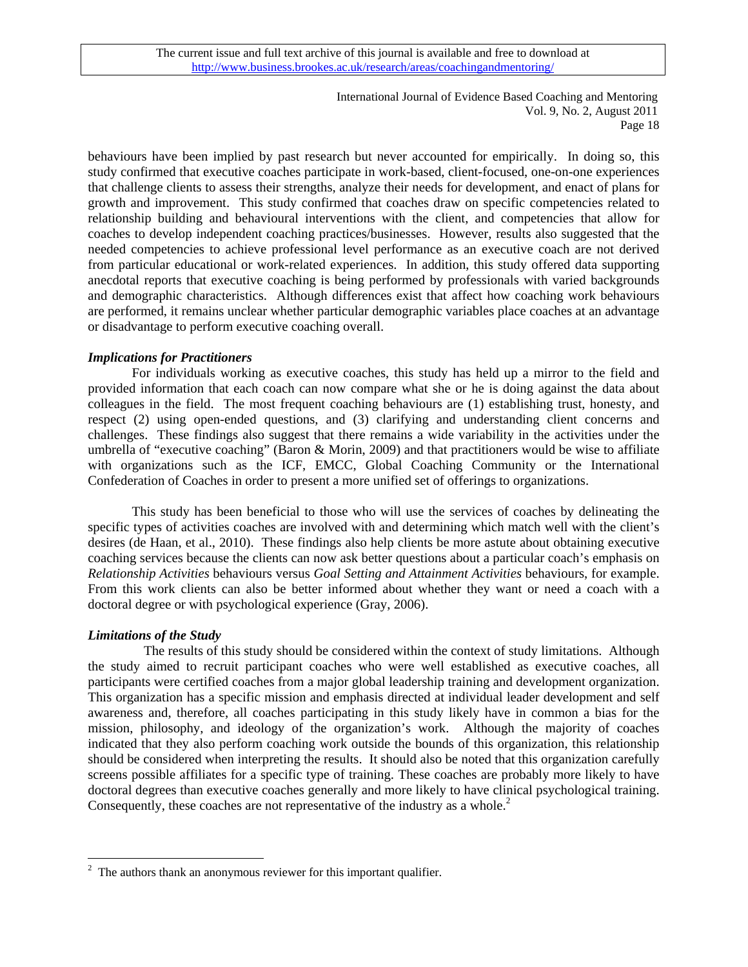> International Journal of Evidence Based Coaching and Mentoring Vol. 9, No. 2, August 2011 Page 18

behaviours have been implied by past research but never accounted for empirically. In doing so, this study confirmed that executive coaches participate in work-based, client-focused, one-on-one experiences that challenge clients to assess their strengths, analyze their needs for development, and enact of plans for growth and improvement. This study confirmed that coaches draw on specific competencies related to relationship building and behavioural interventions with the client, and competencies that allow for coaches to develop independent coaching practices/businesses. However, results also suggested that the needed competencies to achieve professional level performance as an executive coach are not derived from particular educational or work-related experiences. In addition, this study offered data supporting anecdotal reports that executive coaching is being performed by professionals with varied backgrounds and demographic characteristics. Although differences exist that affect how coaching work behaviours are performed, it remains unclear whether particular demographic variables place coaches at an advantage or disadvantage to perform executive coaching overall.

### *Implications for Practitioners*

 For individuals working as executive coaches, this study has held up a mirror to the field and provided information that each coach can now compare what she or he is doing against the data about colleagues in the field. The most frequent coaching behaviours are (1) establishing trust, honesty, and respect (2) using open-ended questions, and (3) clarifying and understanding client concerns and challenges. These findings also suggest that there remains a wide variability in the activities under the umbrella of "executive coaching" (Baron & Morin, 2009) and that practitioners would be wise to affiliate with organizations such as the ICF, EMCC, Global Coaching Community or the International Confederation of Coaches in order to present a more unified set of offerings to organizations.

 This study has been beneficial to those who will use the services of coaches by delineating the specific types of activities coaches are involved with and determining which match well with the client's desires (de Haan, et al., 2010). These findings also help clients be more astute about obtaining executive coaching services because the clients can now ask better questions about a particular coach's emphasis on *Relationship Activities* behaviours versus *Goal Setting and Attainment Activities* behaviours, for example. From this work clients can also be better informed about whether they want or need a coach with a doctoral degree or with psychological experience (Gray, 2006).

### *Limitations of the Study*

 $\overline{a}$ 

 The results of this study should be considered within the context of study limitations. Although the study aimed to recruit participant coaches who were well established as executive coaches, all participants were certified coaches from a major global leadership training and development organization. This organization has a specific mission and emphasis directed at individual leader development and self awareness and, therefore, all coaches participating in this study likely have in common a bias for the mission, philosophy, and ideology of the organization's work. Although the majority of coaches indicated that they also perform coaching work outside the bounds of this organization, this relationship should be considered when interpreting the results. It should also be noted that this organization carefully screens possible affiliates for a specific type of training. These coaches are probably more likely to have doctoral degrees than executive coaches generally and more likely to have clinical psychological training. Consequently, these coaches are not representative of the industry as a whole.<sup>[2](#page-17-0)</sup>

<span id="page-17-0"></span> $2<sup>2</sup>$  The authors thank an anonymous reviewer for this important qualifier.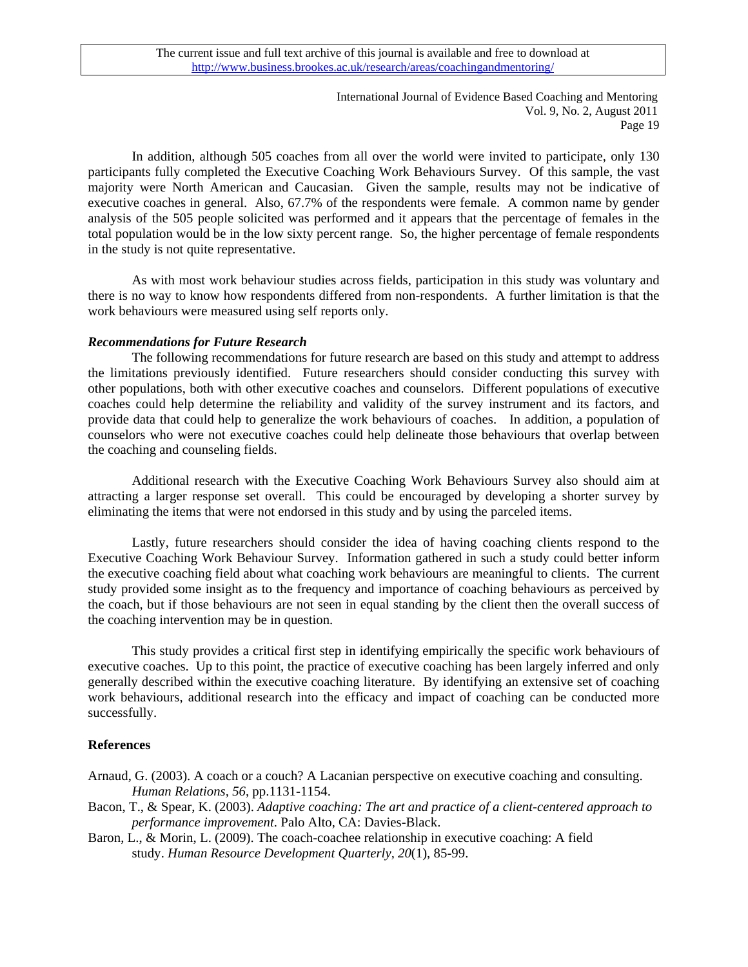International Journal of Evidence Based Coaching and Mentoring Vol. 9, No. 2, August 2011 Page 19

 In addition, although 505 coaches from all over the world were invited to participate, only 130 participants fully completed the Executive Coaching Work Behaviours Survey. Of this sample, the vast majority were North American and Caucasian. Given the sample, results may not be indicative of executive coaches in general. Also, 67.7% of the respondents were female. A common name by gender analysis of the 505 people solicited was performed and it appears that the percentage of females in the total population would be in the low sixty percent range. So, the higher percentage of female respondents in the study is not quite representative.

 As with most work behaviour studies across fields, participation in this study was voluntary and there is no way to know how respondents differed from non-respondents. A further limitation is that the work behaviours were measured using self reports only.

## *Recommendations for Future Research*

 The following recommendations for future research are based on this study and attempt to address the limitations previously identified. Future researchers should consider conducting this survey with other populations, both with other executive coaches and counselors. Different populations of executive coaches could help determine the reliability and validity of the survey instrument and its factors, and provide data that could help to generalize the work behaviours of coaches. In addition, a population of counselors who were not executive coaches could help delineate those behaviours that overlap between the coaching and counseling fields.

 Additional research with the Executive Coaching Work Behaviours Survey also should aim at attracting a larger response set overall. This could be encouraged by developing a shorter survey by eliminating the items that were not endorsed in this study and by using the parceled items.

 Lastly, future researchers should consider the idea of having coaching clients respond to the Executive Coaching Work Behaviour Survey. Information gathered in such a study could better inform the executive coaching field about what coaching work behaviours are meaningful to clients. The current study provided some insight as to the frequency and importance of coaching behaviours as perceived by the coach, but if those behaviours are not seen in equal standing by the client then the overall success of the coaching intervention may be in question.

 This study provides a critical first step in identifying empirically the specific work behaviours of executive coaches. Up to this point, the practice of executive coaching has been largely inferred and only generally described within the executive coaching literature. By identifying an extensive set of coaching work behaviours, additional research into the efficacy and impact of coaching can be conducted more successfully.

## **References**

- Arnaud, G. (2003). A coach or a couch? A Lacanian perspective on executive coaching and consulting. *Human Relations, 56*, pp.1131-1154.
- Bacon, T., & Spear, K. (2003). *Adaptive coaching: The art and practice of a client-centered approach to performance improvement*. Palo Alto, CA: Davies-Black.
- Baron, L., & Morin, L. (2009). The coach-coachee relationship in executive coaching: A field study. *Human Resource Development Quarterly, 20*(1), 85-99.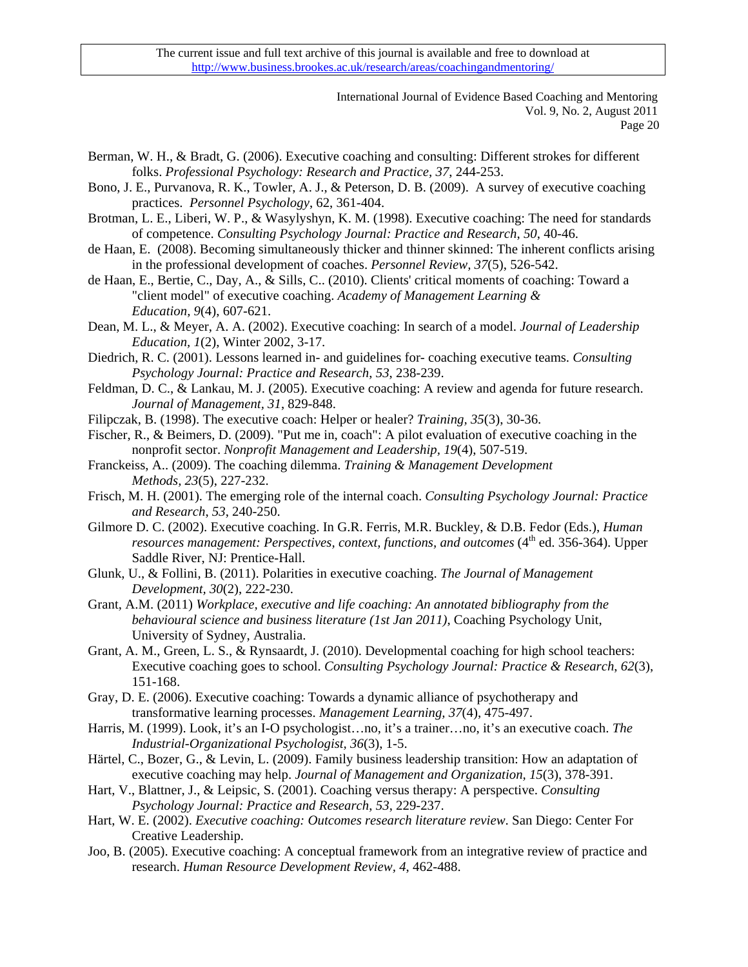> International Journal of Evidence Based Coaching and Mentoring Vol. 9, No. 2, August 2011 Page 20

Berman, W. H., & Bradt, G. (2006). Executive coaching and consulting: Different strokes for different folks. *Professional Psychology: Research and Practice, 37*, 244-253.

- Bono, J. E., Purvanova, R. K., Towler, A. J., & Peterson, D. B. (2009). A survey of executive coaching practices. *Personnel Psychology*, 62, 361-404.
- Brotman, L. E., Liberi, W. P., & Wasylyshyn, K. M. (1998). Executive coaching: The need for standards of competence. *Consulting Psychology Journal: Practice and Research*, *50*, 40-46.
- de Haan, E. (2008). Becoming simultaneously thicker and thinner skinned: The inherent conflicts arising in the professional development of coaches. *Personnel Review, 37*(5), 526-542.
- de Haan, E., Bertie, C., Day, A., & Sills, C.. (2010). Clients' critical moments of coaching: Toward a "client model" of executive coaching. *Academy of Management Learning & Education, 9*(4), 607-621.
- Dean, M. L., & Meyer, A. A. (2002). Executive coaching: In search of a model. *Journal of Leadership Education, 1*(2), Winter 2002, 3-17.
- Diedrich, R. C. (2001). Lessons learned in- and guidelines for- coaching executive teams. *Consulting Psychology Journal: Practice and Research*, *53*, 238-239.
- Feldman, D. C., & Lankau, M. J. (2005). Executive coaching: A review and agenda for future research. *Journal of Management, 31*, 829-848.
- Filipczak, B. (1998). The executive coach: Helper or healer? *Training, 35*(3), 30-36.
- Fischer, R., & Beimers, D. (2009). "Put me in, coach": A pilot evaluation of executive coaching in the nonprofit sector. *Nonprofit Management and Leadership, 19*(4), 507-519.
- Franckeiss, A.. (2009). The coaching dilemma. *Training & Management Development Methods, 23*(5), 227-232.
- Frisch, M. H. (2001). The emerging role of the internal coach. *Consulting Psychology Journal: Practice and Research*, *53*, 240-250.
- Gilmore D. C. (2002). Executive coaching. In G.R. Ferris, M.R. Buckley, & D.B. Fedor (Eds.), *Human resources management: Perspectives, context, functions, and outcomes* (4<sup>th</sup> ed. 356-364). Upper Saddle River, NJ: Prentice-Hall.
- Glunk, U., & Follini, B. (2011). Polarities in executive coaching. *The Journal of Management Development, 30*(2), 222-230.
- Grant, A.M. (2011) *Workplace, executive and life coaching: An annotated bibliography from the behavioural science and business literature (1st Jan 2011)*, Coaching Psychology Unit, University of Sydney, Australia.
- Grant, A. M., Green, L. S., & Rynsaardt, J. (2010). Developmental coaching for high school teachers: Executive coaching goes to school. *Consulting Psychology Journal: Practice & Research*, *62*(3), 151-168.
- Gray, D. E. (2006). Executive coaching: Towards a dynamic alliance of psychotherapy and transformative learning processes. *Management Learning, 37*(4), 475-497.
- Harris, M. (1999). Look, it's an I-O psychologist…no, it's a trainer…no, it's an executive coach. *The Industrial-Organizational Psychologist, 36*(3), 1-5.
- Härtel, C., Bozer, G., & Levin, L. (2009). Family business leadership transition: How an adaptation of executive coaching may help. *Journal of Management and Organization, 15*(3), 378-391.
- Hart, V., Blattner, J., & Leipsic, S. (2001). Coaching versus therapy: A perspective. *Consulting Psychology Journal: Practice and Research*, *53*, 229-237.
- Hart, W. E. (2002). *Executive coaching: Outcomes research literature review*. San Diego: Center For Creative Leadership.
- Joo, B. (2005). Executive coaching: A conceptual framework from an integrative review of practice and research. *Human Resource Development Review, 4*, 462-488.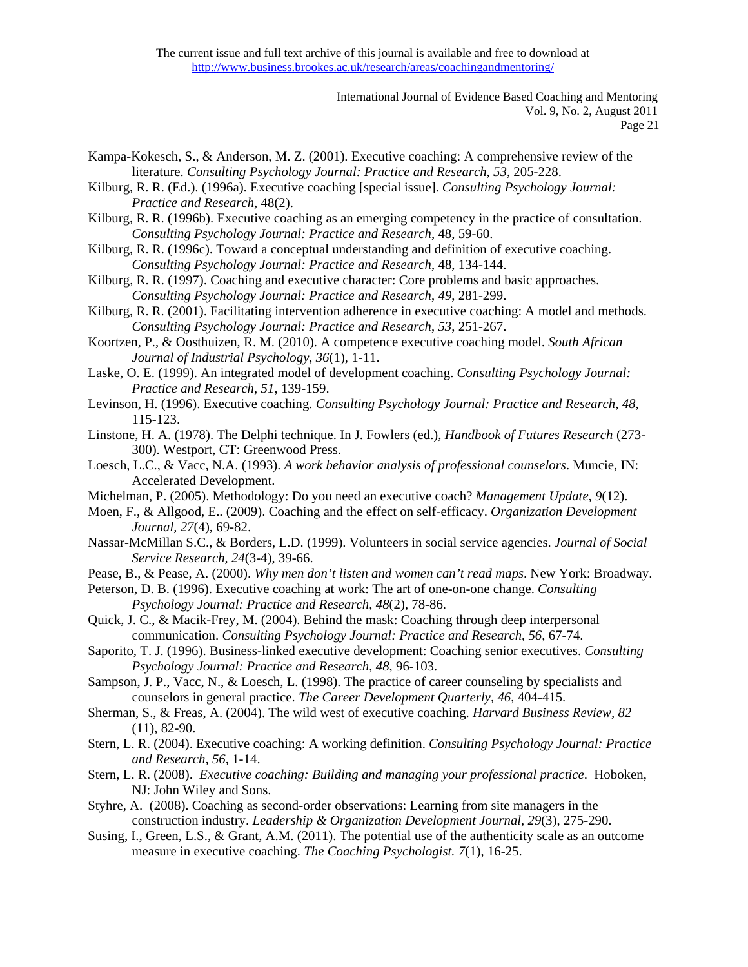> International Journal of Evidence Based Coaching and Mentoring Vol. 9, No. 2, August 2011 Page 21

Kampa-Kokesch, S., & Anderson, M. Z. (2001). Executive coaching: A comprehensive review of the literature. *Consulting Psychology Journal: Practice and Research*, *53*, 205-228.

- Kilburg, R. R. (Ed.). (1996a). Executive coaching [special issue]. *Consulting Psychology Journal: Practice and Research*, 48(2).
- Kilburg, R. R. (1996b). Executive coaching as an emerging competency in the practice of consultation. *Consulting Psychology Journal: Practice and Research*, 48, 59-60.
- Kilburg, R. R. (1996c). Toward a conceptual understanding and definition of executive coaching. *Consulting Psychology Journal: Practice and Research*, 48, 134-144.
- Kilburg, R. R. (1997). Coaching and executive character: Core problems and basic approaches. *Consulting Psychology Journal: Practice and Research*, *49*, 281-299.
- Kilburg, R. R. (2001). Facilitating intervention adherence in executive coaching: A model and methods. *Consulting Psychology Journal: Practice and Research*, *53*, 251-267.
- Koortzen, P., & Oosthuizen, R. M. (2010). A competence executive coaching model. *South African Journal of Industrial Psychology*, *36*(1), 1-11.
- Laske, O. E. (1999). An integrated model of development coaching. *Consulting Psychology Journal: Practice and Research*, *51*, 139-159.
- Levinson, H. (1996). Executive coaching. *Consulting Psychology Journal: Practice and Research*, *48*, 115-123.
- Linstone, H. A. (1978). The Delphi technique. In J. Fowlers (ed.), *Handbook of Futures Research* (273- 300). Westport, CT: Greenwood Press.
- Loesch, L.C., & Vacc, N.A. (1993). *A work behavior analysis of professional counselors*. Muncie, IN: Accelerated Development.
- Michelman, P. (2005). Methodology: Do you need an executive coach? *Management Update*, *9*(12).
- Moen, F., & Allgood, E.. (2009). Coaching and the effect on self-efficacy. *Organization Development Journal, 27*(4), 69-82.
- Nassar-McMillan S.C., & Borders, L.D. (1999). Volunteers in social service agencies. *Journal of Social Service Research, 24*(3-4), 39-66.
- Pease, B., & Pease, A. (2000). *Why men don't listen and women can't read maps*. New York: Broadway.
- Peterson, D. B. (1996). Executive coaching at work: The art of one-on-one change. *Consulting Psychology Journal: Practice and Research*, *48*(2), 78-86.
- Quick, J. C., & Macik-Frey, M. (2004). Behind the mask: Coaching through deep interpersonal communication. *Consulting Psychology Journal: Practice and Research*, *56*, 67-74.
- Saporito, T. J. (1996). Business-linked executive development: Coaching senior executives. *Consulting Psychology Journal: Practice and Research*, *48*, 96-103.
- Sampson, J. P., Vacc, N., & Loesch, L. (1998). The practice of career counseling by specialists and counselors in general practice. *The Career Development Quarterly, 46*, 404-415.
- Sherman, S., & Freas, A. (2004). The wild west of executive coaching. *Harvard Business Review, 82* (11), 82-90.
- Stern, L. R. (2004). Executive coaching: A working definition. *Consulting Psychology Journal: Practice and Research, 56*, 1-14.
- Stern, L. R. (2008). *Executive coaching: Building and managing your professional practice*. Hoboken, NJ: John Wiley and Sons.
- Styhre, A. (2008). Coaching as second-order observations: Learning from site managers in the construction industry. *Leadership & Organization Development Journal, 29*(3), 275-290.
- Susing, I., Green, L.S., & Grant, A.M. (2011). The potential use of the authenticity scale as an outcome measure in executive coaching. *The Coaching Psychologist. 7*(1), 16-25.